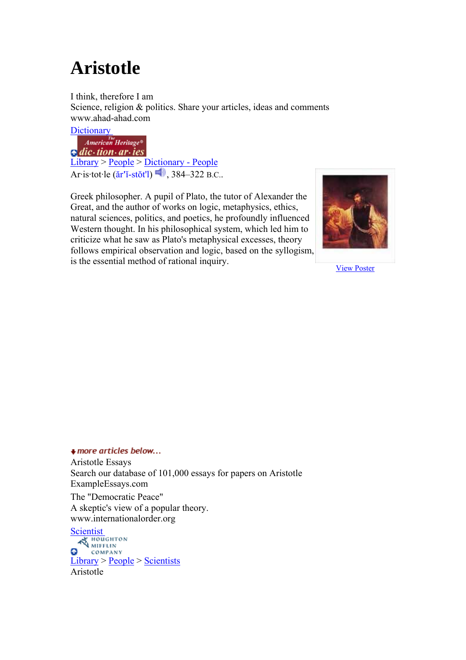# **Aristotle**

I think, therefore I am

Science, religion & politics. Share your articles, ideas and comments www.ahad-ahad.com

**Dictionary**  $A$ merican Heritage®  $\bullet$  dic-tion-ar-ies [Library](http://www.answers.com/main/what_content.jsp) > [People](http://www.answers.com/main/people.jsp) > [Dictionary - People](http://www.answers.com/library/Dictionary+%252D+People-cid-1741725583) Ar is tot le ( $\ar{a}$ r'i-stot'l) **4** 384–322 B.C..

Greek philosopher. A pupil of Plato, the tutor of Alexander the Great, and the author of works on logic, metaphysics, ethics, natural sciences, politics, and poetics, he profoundly influenced Western thought. In his philosophical system, which led him to criticize what he saw as Plato's metaphysical excesses, theory follows empirical observation and logic, based on the syllogism, is the essential method of rational inquiry.<br>View Poster



#### $\bullet$  more articles below...

Aristotle Essays Search our database of 101,000 essays for papers on Aristotle ExampleEssays.com

The "Democratic Peace" A skeptic's view of a popular theory. www.internationalorder.org

Scientist<br>S HOUGHTON  $\ddot{\textbf{r}}$ COMPANY [Library](http://www.answers.com/main/what_content.jsp) > [People](http://www.answers.com/main/people.jsp) > [Scientists](http://www.answers.com/library/Scientists-cid-1741725583) Aristotle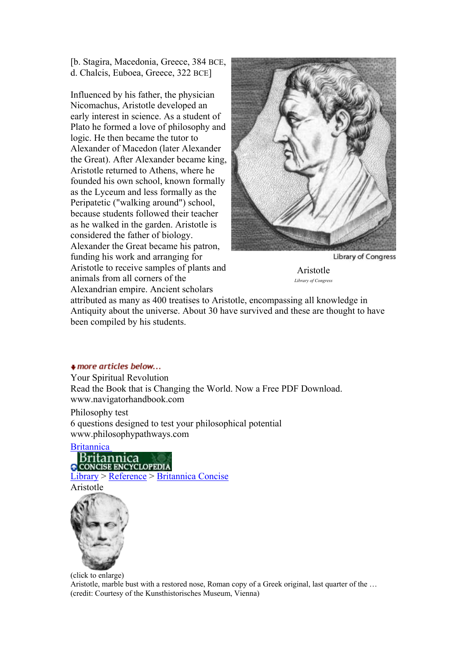[b. Stagira, Macedonia, Greece, 384 BCE, d. Chalcis, Euboea, Greece, 322 BCE]

Influenced by his father, the physician Nicomachus, Aristotle developed an early interest in science. As a student of Plato he formed a love of philosophy and logic. He then became the tutor to Alexander of Macedon (later Alexander the Great). After Alexander became king, Aristotle returned to Athens, where he founded his own school, known formally as the Lyceum and less formally as the Peripatetic ("walking around") school, because students followed their teacher as he walked in the garden. Aristotle is considered the father of biology. Alexander the Great became his patron, funding his work and arranging for Aristotle to receive samples of plants and animals from all corners of the Alexandrian empire. Ancient scholars



Library of Congress Aristotle

*Library of Congress*

attributed as many as 400 treatises to Aristotle, encompassing all knowledge in Antiquity about the universe. About 30 have survived and these are thought to have been compiled by his students.

#### $\bullet$  more articles below...

Your Spiritual Revolution Read the Book that is Changing the World. Now a Free PDF Download. www.navigatorhandbook.com

Philosophy test

6 questions designed to test your philosophical potential www.philosophypathways.com

Britannica<br>Britannica CONCISE ENCYCLOPEDIA [Library](http://www.answers.com/main/what_content.jsp) > [Reference](http://www.answers.com/main/reference.jsp) > [Britannica Concise](http://www.answers.com/library/Britannica+Concise-cid-1741725583)  Aristotle



(click to enlarge) Aristotle, marble bust with a restored nose, Roman copy of a Greek original, last quarter of the … (credit: Courtesy of the Kunsthistorisches Museum, Vienna)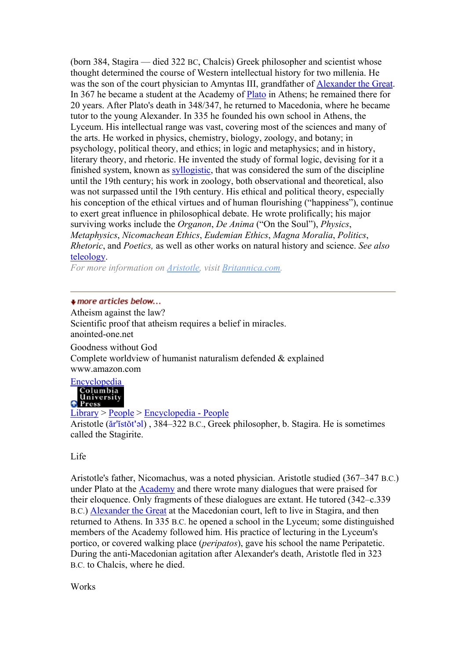(born 384, Stagira — died 322 BC, Chalcis) Greek philosopher and scientist whose thought determined the course of Western intellectual history for two millenia. He was the son of the court physician to Amyntas III, grandfather of [Alexander the Great.](http://www.answers.com/topic/alexander-the-great) In 367 he became a student at the Academy of [Plato](http://www.answers.com/topic/plato-philosopher) in Athens; he remained there for 20 years. After Plato's death in 348/347, he returned to Macedonia, where he became tutor to the young Alexander. In 335 he founded his own school in Athens, the Lyceum. His intellectual range was vast, covering most of the sciences and many of the arts. He worked in physics, chemistry, biology, zoology, and botany; in psychology, political theory, and ethics; in logic and metaphysics; and in history, literary theory, and rhetoric. He invented the study of formal logic, devising for it a finished system, known as [syllogistic](http://www.answers.com/topic/syllogistic), that was considered the sum of the discipline until the 19th century; his work in zoology, both observational and theoretical, also was not surpassed until the 19th century. His ethical and political theory, especially his conception of the ethical virtues and of human flourishing ("happiness"), continue to exert great influence in philosophical debate. He wrote prolifically; his major surviving works include the *Organon*, *De Anima* ("On the Soul"), *Physics*, *Metaphysics*, *Nicomachean Ethics*, *Eudemian Ethics*, *Magna Moralia*, *Politics*, *Rhetoric*, and *Poetics,* as well as other works on natural history and science. *See also* [teleology.](http://www.answers.com/topic/teleology)

*For more information on [Aristotle,](http://www.britannica.com/eb/article-9108312/Aristotle) visit [Britannica.com.](http://www.britannica.com/)*

#### $\bullet$  more articles below...

Atheism against the law? Scientific proof that atheism requires a belief in miracles. anointed-one.net Goodness without God Complete worldview of humanist naturalism defended & explained www.amazon.com



#### [Library](http://www.answers.com/main/what_content.jsp) > [People](http://www.answers.com/main/people.jsp) > [Encyclopedia - People](http://www.answers.com/library/Encyclopedia+%252D+People-cid-1741725583)

Aristotle (ăr'ĭstŏt**'**əl) , 384–322 B.C., Greek philosopher, b. Stagira. He is sometimes called the Stagirite.

#### Life

Aristotle's father, Nicomachus, was a noted physician. Aristotle studied (367–347 B.C.) under Plato at the [Academy](http://www.answers.com/topic/academy) and there wrote many dialogues that were praised for their eloquence. Only fragments of these dialogues are extant. He tutored (342–c.339 B.C.) [Alexander the Great](http://www.answers.com/topic/alexander-the-great) at the Macedonian court, left to live in Stagira, and then returned to Athens. In 335 B.C. he opened a school in the Lyceum; some distinguished members of the Academy followed him. His practice of lecturing in the Lyceum's portico, or covered walking place (*peripatos*), gave his school the name Peripatetic. During the anti-Macedonian agitation after Alexander's death, Aristotle fled in 323 B.C. to Chalcis, where he died.

Works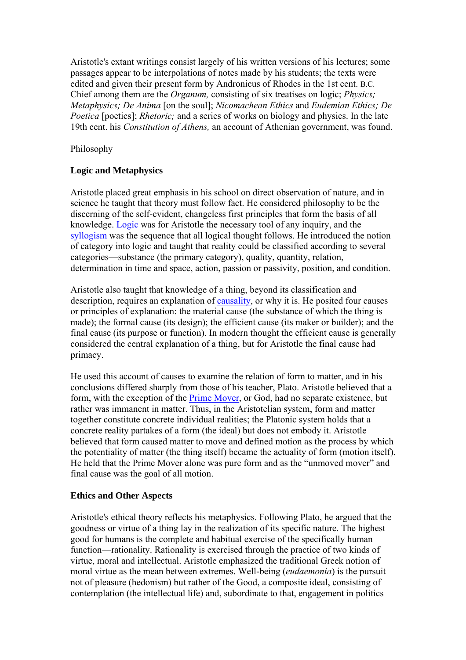Aristotle's extant writings consist largely of his written versions of his lectures; some passages appear to be interpolations of notes made by his students; the texts were edited and given their present form by Andronicus of Rhodes in the 1st cent. B.C. Chief among them are the *Organum,* consisting of six treatises on logic; *Physics; Metaphysics; De Anima* [on the soul]; *Nicomachean Ethics* and *Eudemian Ethics; De Poetica* [poetics]; *Rhetoric;* and a series of works on biology and physics. In the late 19th cent. his *Constitution of Athens,* an account of Athenian government, was found.

#### Philosophy

#### **Logic and Metaphysics**

Aristotle placed great emphasis in his school on direct observation of nature, and in science he taught that theory must follow fact. He considered philosophy to be the discerning of the self-evident, changeless first principles that form the basis of all knowledge. [Logic](http://www.answers.com/topic/logic) was for Aristotle the necessary tool of any inquiry, and the [syllogism](http://www.answers.com/topic/syllogism) was the sequence that all logical thought follows. He introduced the notion of category into logic and taught that reality could be classified according to several categories—substance (the primary category), quality, quantity, relation, determination in time and space, action, passion or passivity, position, and condition.

Aristotle also taught that knowledge of a thing, beyond its classification and description, requires an explanation of *causality*, or why it is. He posited four causes or principles of explanation: the material cause (the substance of which the thing is made); the formal cause (its design); the efficient cause (its maker or builder); and the final cause (its purpose or function). In modern thought the efficient cause is generally considered the central explanation of a thing, but for Aristotle the final cause had primacy.

He used this account of causes to examine the relation of form to matter, and in his conclusions differed sharply from those of his teacher, Plato. Aristotle believed that a form, with the exception of the [Prime Mover](http://www.answers.com/topic/prime-mover-1), or God, had no separate existence, but rather was immanent in matter. Thus, in the Aristotelian system, form and matter together constitute concrete individual realities; the Platonic system holds that a concrete reality partakes of a form (the ideal) but does not embody it. Aristotle believed that form caused matter to move and defined motion as the process by which the potentiality of matter (the thing itself) became the actuality of form (motion itself). He held that the Prime Mover alone was pure form and as the "unmoved mover" and final cause was the goal of all motion.

#### **Ethics and Other Aspects**

Aristotle's ethical theory reflects his metaphysics. Following Plato, he argued that the goodness or virtue of a thing lay in the realization of its specific nature. The highest good for humans is the complete and habitual exercise of the specifically human function—rationality. Rationality is exercised through the practice of two kinds of virtue, moral and intellectual. Aristotle emphasized the traditional Greek notion of moral virtue as the mean between extremes. Well-being (*eudaemonia*) is the pursuit not of pleasure (hedonism) but rather of the Good, a composite ideal, consisting of contemplation (the intellectual life) and, subordinate to that, engagement in politics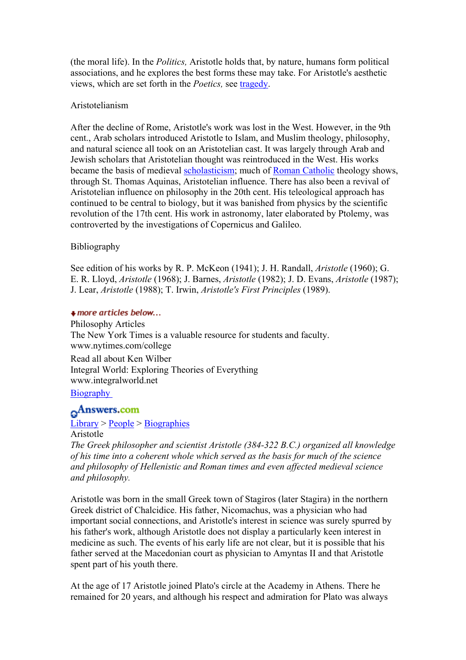(the moral life). In the *Politics,* Aristotle holds that, by nature, humans form political associations, and he explores the best forms these may take. For Aristotle's aesthetic views, which are set forth in the *Poetics,* see [tragedy](http://www.answers.com/topic/tragedy).

#### Aristotelianism

After the decline of Rome, Aristotle's work was lost in the West. However, in the 9th cent., Arab scholars introduced Aristotle to Islam, and Muslim theology, philosophy, and natural science all took on an Aristotelian cast. It was largely through Arab and Jewish scholars that Aristotelian thought was reintroduced in the West. His works became the basis of medieval [scholasticism](http://www.answers.com/topic/scholasticism); much of [Roman Catholic](http://www.answers.com/topic/roman-catholic) theology shows, through St. Thomas Aquinas, Aristotelian influence. There has also been a revival of Aristotelian influence on philosophy in the 20th cent. His teleological approach has continued to be central to biology, but it was banished from physics by the scientific revolution of the 17th cent. His work in astronomy, later elaborated by Ptolemy, was controverted by the investigations of Copernicus and Galileo.

#### Bibliography

See edition of his works by R. P. McKeon (1941); J. H. Randall, *Aristotle* (1960); G. E. R. Lloyd, *Aristotle* (1968); J. Barnes, *Aristotle* (1982); J. D. Evans, *Aristotle* (1987); J. Lear, *Aristotle* (1988); T. Irwin, *Aristotle's First Principles* (1989).

#### $\bullet$  more articles below...

Philosophy Articles The New York Times is a valuable resource for students and faculty. www.nytimes.com/college Read all about Ken Wilber Integral World: Exploring Theories of Everything www.integralworld.net **Biography** 

# $\alpha$ Answers.com

#### [Library](http://www.answers.com/main/what_content.jsp) > [People](http://www.answers.com/main/people.jsp) > [Biographies](http://www.answers.com/library/Biographies-cid-1741725583)

### Aristotle

*The Greek philosopher and scientist Aristotle (384-322 B.C.) organized all knowledge of his time into a coherent whole which served as the basis for much of the science and philosophy of Hellenistic and Roman times and even affected medieval science and philosophy.*

Aristotle was born in the small Greek town of Stagiros (later Stagira) in the northern Greek district of Chalcidice. His father, Nicomachus, was a physician who had important social connections, and Aristotle's interest in science was surely spurred by his father's work, although Aristotle does not display a particularly keen interest in medicine as such. The events of his early life are not clear, but it is possible that his father served at the Macedonian court as physician to Amyntas II and that Aristotle spent part of his youth there.

At the age of 17 Aristotle joined Plato's circle at the Academy in Athens. There he remained for 20 years, and although his respect and admiration for Plato was always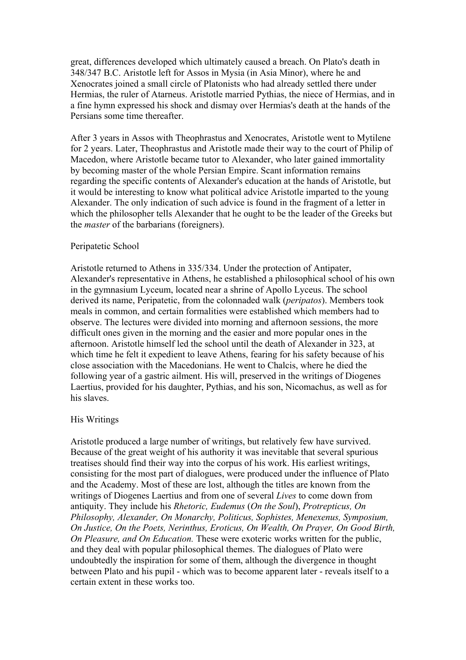great, differences developed which ultimately caused a breach. On Plato's death in 348/347 B.C. Aristotle left for Assos in Mysia (in Asia Minor), where he and Xenocrates joined a small circle of Platonists who had already settled there under Hermias, the ruler of Atarneus. Aristotle married Pythias, the niece of Hermias, and in a fine hymn expressed his shock and dismay over Hermias's death at the hands of the Persians some time thereafter.

After 3 years in Assos with Theophrastus and Xenocrates, Aristotle went to Mytilene for 2 years. Later, Theophrastus and Aristotle made their way to the court of Philip of Macedon, where Aristotle became tutor to Alexander, who later gained immortality by becoming master of the whole Persian Empire. Scant information remains regarding the specific contents of Alexander's education at the hands of Aristotle, but it would be interesting to know what political advice Aristotle imparted to the young Alexander. The only indication of such advice is found in the fragment of a letter in which the philosopher tells Alexander that he ought to be the leader of the Greeks but the *master* of the barbarians (foreigners).

#### Peripatetic School

Aristotle returned to Athens in 335/334. Under the protection of Antipater, Alexander's representative in Athens, he established a philosophical school of his own in the gymnasium Lyceum, located near a shrine of Apollo Lyceus. The school derived its name, Peripatetic, from the colonnaded walk (*peripatos*). Members took meals in common, and certain formalities were established which members had to observe. The lectures were divided into morning and afternoon sessions, the more difficult ones given in the morning and the easier and more popular ones in the afternoon. Aristotle himself led the school until the death of Alexander in 323, at which time he felt it expedient to leave Athens, fearing for his safety because of his close association with the Macedonians. He went to Chalcis, where he died the following year of a gastric ailment. His will, preserved in the writings of Diogenes Laertius, provided for his daughter, Pythias, and his son, Nicomachus, as well as for his slaves.

#### His Writings

Aristotle produced a large number of writings, but relatively few have survived. Because of the great weight of his authority it was inevitable that several spurious treatises should find their way into the corpus of his work. His earliest writings, consisting for the most part of dialogues, were produced under the influence of Plato and the Academy. Most of these are lost, although the titles are known from the writings of Diogenes Laertius and from one of several *Lives* to come down from antiquity. They include his *Rhetoric, Eudemus* (*On the Soul*), *Protrepticus, On Philosophy, Alexander, On Monarchy, Politicus, Sophistes, Menexenus, Symposium, On Justice, On the Poets, Nerinthus, Eroticus, On Wealth, On Prayer, On Good Birth, On Pleasure, and On Education.* These were exoteric works written for the public, and they deal with popular philosophical themes. The dialogues of Plato were undoubtedly the inspiration for some of them, although the divergence in thought between Plato and his pupil - which was to become apparent later - reveals itself to a certain extent in these works too.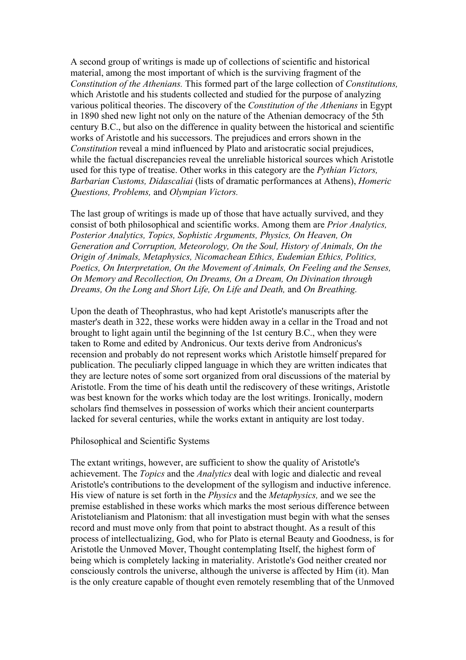A second group of writings is made up of collections of scientific and historical material, among the most important of which is the surviving fragment of the *Constitution of the Athenians.* This formed part of the large collection of *Constitutions,* which Aristotle and his students collected and studied for the purpose of analyzing various political theories. The discovery of the *Constitution of the Athenians* in Egypt in 1890 shed new light not only on the nature of the Athenian democracy of the 5th century B.C., but also on the difference in quality between the historical and scientific works of Aristotle and his successors. The prejudices and errors shown in the *Constitution* reveal a mind influenced by Plato and aristocratic social prejudices, while the factual discrepancies reveal the unreliable historical sources which Aristotle used for this type of treatise. Other works in this category are the *Pythian Victors, Barbarian Customs, Didascaliai* (lists of dramatic performances at Athens), *Homeric Questions, Problems,* and *Olympian Victors.*

The last group of writings is made up of those that have actually survived, and they consist of both philosophical and scientific works. Among them are *Prior Analytics, Posterior Analytics, Topics, Sophistic Arguments, Physics, On Heaven, On Generation and Corruption, Meteorology, On the Soul, History of Animals, On the Origin of Animals, Metaphysics, Nicomachean Ethics, Eudemian Ethics, Politics, Poetics, On Interpretation, On the Movement of Animals, On Feeling and the Senses, On Memory and Recollection, On Dreams, On a Dream, On Divination through Dreams, On the Long and Short Life, On Life and Death,* and *On Breathing.*

Upon the death of Theophrastus, who had kept Aristotle's manuscripts after the master's death in 322, these works were hidden away in a cellar in the Troad and not brought to light again until the beginning of the 1st century B.C., when they were taken to Rome and edited by Andronicus. Our texts derive from Andronicus's recension and probably do not represent works which Aristotle himself prepared for publication. The peculiarly clipped language in which they are written indicates that they are lecture notes of some sort organized from oral discussions of the material by Aristotle. From the time of his death until the rediscovery of these writings, Aristotle was best known for the works which today are the lost writings. Ironically, modern scholars find themselves in possession of works which their ancient counterparts lacked for several centuries, while the works extant in antiquity are lost today.

#### Philosophical and Scientific Systems

The extant writings, however, are sufficient to show the quality of Aristotle's achievement. The *Topics* and the *Analytics* deal with logic and dialectic and reveal Aristotle's contributions to the development of the syllogism and inductive inference. His view of nature is set forth in the *Physics* and the *Metaphysics,* and we see the premise established in these works which marks the most serious difference between Aristotelianism and Platonism: that all investigation must begin with what the senses record and must move only from that point to abstract thought. As a result of this process of intellectualizing, God, who for Plato is eternal Beauty and Goodness, is for Aristotle the Unmoved Mover, Thought contemplating Itself, the highest form of being which is completely lacking in materiality. Aristotle's God neither created nor consciously controls the universe, although the universe is affected by Him (it). Man is the only creature capable of thought even remotely resembling that of the Unmoved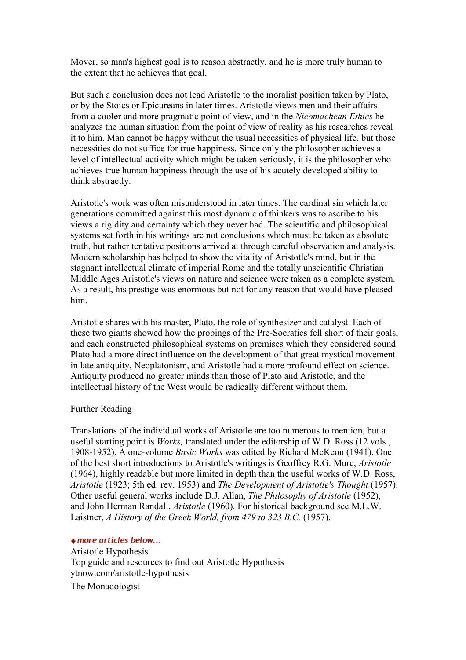Mover, so man's highest goal is to reason abstractly, and he is more truly human to the extent that he achieves that goal.

But such a conclusion does not lead Aristotle to the moralist position taken by Plato, or by the Stoics or Epicureans in later times. Aristotle views men and their affairs from a cooler and more pragmatic point of view, and in the *Nicomachean Ethics* he analyzes the human situation from the point of view of reality as his researches reveal it to him. Man cannot be happy without the usual necessities of physical life, but those necessities do not suffice for true happiness. Since only the philosopher achieves a level of intellectual activity which might be taken seriously, it is the philosopher who achieves true human happiness through the use of his acutely developed ability to think abstractly.

Aristotle's work was often misunderstood in later times. The cardinal sin which later generations committed against this most dynamic of thinkers was to ascribe to his views a rigidity and certainty which they never had. The scientific and philosophical systems set forth in his writings are not conclusions which must be taken as absolute truth, but rather tentative positions arrived at through careful observation and analysis. Modern scholarship has helped to show the vitality of Aristotle's mind, but in the stagnant intellectual climate of imperial Rome and the totally unscientific Christian Middle Ages Aristotle's views on nature and science were taken as a complete system. As a result, his prestige was enormous but not for any reason that would have pleased him.

Aristotle shares with his master, Plato, the role of synthesizer and catalyst. Each of these two giants showed how the probings of the Pre-Socratics fell short of their goals, and each constructed philosophical systems on premises which they considered sound. Plato had a more direct influence on the development of that great mystical movement in late antiquity, Neoplatonism, and Aristotle had a more profound effect on science. Antiquity produced no greater minds than those of Plato and Aristotle, and the intellectual history of the West would be radically different without them.

#### Further Reading

Translations of the individual works of Aristotle are too numerous to mention, but a useful starting point is *Works,* translated under the editorship of W.D. Ross (12 vols., 1908-1952). A one-volume *Basic Works* was edited by Richard McKeon (1941). One of the best short introductions to Aristotle's writings is Geoffrey R.G. Mure, *Aristotle* (1964), highly readable but more limited in depth than the useful works of W.D. Ross, *Aristotle* (1923; 5th ed. rev. 1953) and *The Development of Aristotle's Thought* (1957). Other useful general works include D.J. Allan, *The Philosophy of Aristotle* (1952), and John Herman Randall, *Aristotle* (1960). For historical background see M.L.W. Laistner, *A History of the Greek World, from 479 to 323 B.C.* (1957).

#### $\bullet$  more articles below...

Aristotle Hypothesis Top guide and resources to find out Aristotle Hypothesis ytnow.com/aristotle-hypothesis The Monadologist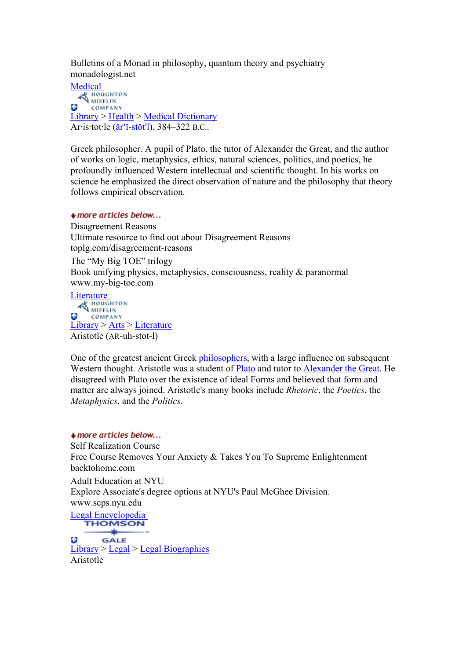Bulletins of a Monad in philosophy, quantum theory and psychiatry monadologist.net

**Medical**<br>**S** HOUGHTON COMPANY [Library](http://www.answers.com/main/what_content.jsp) > [Health](http://www.answers.com/main/health.jsp) > [Medical Dictionary](http://www.answers.com/library/Medical+Dictionary-cid-1741725583) Ar·is·tot·le (ăr**'**ĭ-stŏt'l), 384–322 B.C..

Greek philosopher. A pupil of Plato, the tutor of Alexander the Great, and the author of works on logic, metaphysics, ethics, natural sciences, politics, and poetics, he profoundly influenced Western intellectual and scientific thought. In his works on science he emphasized the direct observation of nature and the philosophy that theory follows empirical observation.

#### $\bullet$  more articles below...

Disagreement Reasons Ultimate resource to find out about Disagreement Reasons toplg.com/disagreement-reasons

The "My Big TOE" trilogy Book unifying physics, metaphysics, consciousness, reality & paranormal www.my-big-toe.com

**[Literature](http://www.answers.com/library/Literature-cid-1741725583)**<br>MHOUGHTON COMPANY [Library](http://www.answers.com/main/what_content.jsp) > [Arts](http://www.answers.com/main/arts.jsp) > [Literature](http://www.answers.com/library/Literature-cid-1741725583)  Aristotle (AR-uh-stot-l)

One of the greatest ancient Greek [philosophers](http://www.answers.com/topic/philosopher-s-stone), with a large influence on subsequent Western thought. Aristotle was a student of [Plato](http://www.answers.com/topic/plato-philosopher) and tutor to [Alexander the Great.](http://www.answers.com/topic/alexander-the-great) He disagreed with Plato over the existence of ideal Forms and believed that form and matter are always joined. Aristotle's many books include *Rhetoric*, the *Poetics*, the *Metaphysics*, and the *Politics*.

#### $\bullet$  more articles below...

Self Realization Course Free Course Removes Your Anxiety & Takes You To Supreme Enlightenment backtohome.com

Adult Education at NYU Explore Associate's degree options at NYU's Paul McGhee Division. www.scps.nyu.edu

Legal Encyclopedia ⇥ 45 **GALE** [Library](http://www.answers.com/main/what_content.jsp) > [Legal](http://www.answers.com/main/legal.jsp) > [Legal Biographies](http://www.answers.com/library/Legal+Biographies-cid-1741725583) Aristotle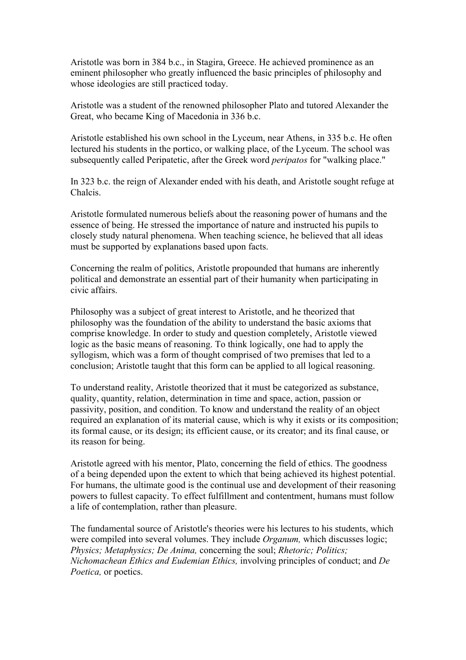Aristotle was born in 384 b.c., in Stagira, Greece. He achieved prominence as an eminent philosopher who greatly influenced the basic principles of philosophy and whose ideologies are still practiced today.

Aristotle was a student of the renowned philosopher Plato and tutored Alexander the Great, who became King of Macedonia in 336 b.c.

Aristotle established his own school in the Lyceum, near Athens, in 335 b.c. He often lectured his students in the portico, or walking place, of the Lyceum. The school was subsequently called Peripatetic, after the Greek word *peripatos* for "walking place."

In 323 b.c. the reign of Alexander ended with his death, and Aristotle sought refuge at Chalcis.

Aristotle formulated numerous beliefs about the reasoning power of humans and the essence of being. He stressed the importance of nature and instructed his pupils to closely study natural phenomena. When teaching science, he believed that all ideas must be supported by explanations based upon facts.

Concerning the realm of politics, Aristotle propounded that humans are inherently political and demonstrate an essential part of their humanity when participating in civic affairs.

Philosophy was a subject of great interest to Aristotle, and he theorized that philosophy was the foundation of the ability to understand the basic axioms that comprise knowledge. In order to study and question completely, Aristotle viewed logic as the basic means of reasoning. To think logically, one had to apply the syllogism, which was a form of thought comprised of two premises that led to a conclusion; Aristotle taught that this form can be applied to all logical reasoning.

To understand reality, Aristotle theorized that it must be categorized as substance, quality, quantity, relation, determination in time and space, action, passion or passivity, position, and condition. To know and understand the reality of an object required an explanation of its material cause, which is why it exists or its composition; its formal cause, or its design; its efficient cause, or its creator; and its final cause, or its reason for being.

Aristotle agreed with his mentor, Plato, concerning the field of ethics. The goodness of a being depended upon the extent to which that being achieved its highest potential. For humans, the ultimate good is the continual use and development of their reasoning powers to fullest capacity. To effect fulfillment and contentment, humans must follow a life of contemplation, rather than pleasure.

The fundamental source of Aristotle's theories were his lectures to his students, which were compiled into several volumes. They include *Organum,* which discusses logic; *Physics; Metaphysics; De Anima,* concerning the soul; *Rhetoric; Politics; Nichomachean Ethics and Eudemian Ethics,* involving principles of conduct; and *De Poetica,* or poetics.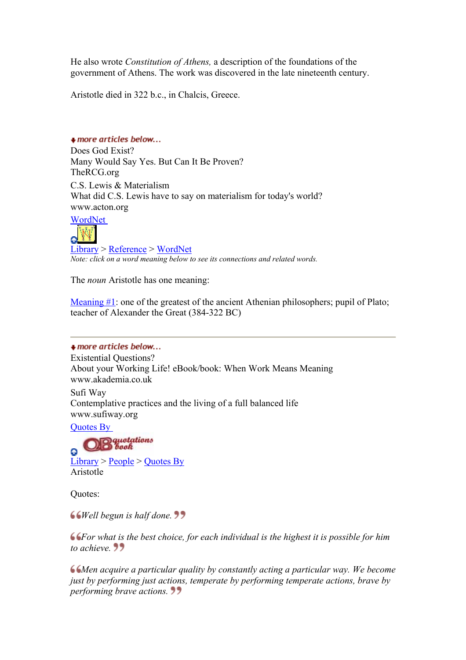He also wrote *Constitution of Athens,* a description of the foundations of the government of Athens. The work was discovered in the late nineteenth century.

Aristotle died in 322 b.c., in Chalcis, Greece.

#### $\bullet$  more articles below...

Does God Exist? Many Would Say Yes. But Can It Be Proven? TheRCG.org C.S. Lewis & Materialism What did C.S. Lewis have to say on materialism for today's world? www.acton.org

[WordNet](http://www.answers.com/library/WordNet-cid-1741725583)

[Library](http://www.answers.com/main/what_content.jsp) > [Reference](http://www.answers.com/main/reference.jsp) > [WordNet](http://www.answers.com/library/WordNet-cid-1741725583) *Note: click on a word meaning below to see its connections and related words.*

The *noun* Aristotle has one meaning:

[Meaning #1:](http://www.answers.com/topic/aristotle-1) one of the greatest of the ancient Athenian philosophers; pupil of Plato; teacher of Alexander the Great (384-322 BC)

#### $\bullet$  more articles below...

Existential Questions? About your Working Life! eBook/book: When Work Means Meaning www.akademia.co.uk Sufi Way Contemplative practices and the living of a full balanced life www.sufiway.org

[Quotes By](http://www.answers.com/library/Quotes By-cid-1741725583) 



Quotes:

*Well begun is half done.*

*For what is the best choice, for each individual is the highest it is possible for him to achieve.*

*Men acquire a particular quality by constantly acting a particular way. We become just by performing just actions, temperate by performing temperate actions, brave by performing brave actions.*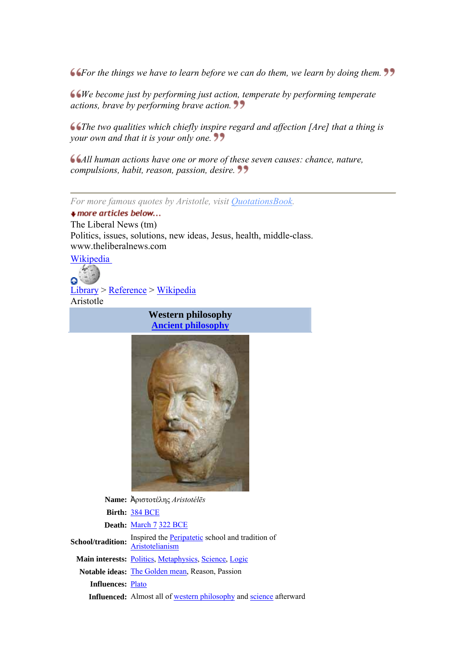*f* For the things we have to learn before we can do them, we learn by doing them.

*We become just by performing just action, temperate by performing temperate actions, brave by performing brave action.*

*The two qualities which chiefly inspire regard and affection [Are] that a thing is your own and that it is your only one.*

*All human actions have one or more of these seven causes: chance, nature, compulsions, habit, reason, passion, desire.*

*For more famous quotes by Aristotle, visit [QuotationsBook](http://www.answers.com/main/Record2?a=NR&url=http://www.quotationsbook.com/authors/253/Aristotle).*

 $\bullet$  more articles below... The Liberal News (tm) Politics, issues, solutions, new ideas, Jesus, health, middle-class. www.theliberalnews.com

[Wikipedia](http://www.answers.com/library/Wikipedia-cid-1741725583) 



[Library](http://www.answers.com/main/what_content.jsp) > [Reference](http://www.answers.com/main/reference.jsp) > [Wikipedia](http://www.answers.com/library/Wikipedia-cid-1741725583) Aristotle

> **Western philosophy [Ancient philosophy](http://www.answers.com/topic/ancient-philosophy)**



**Name:** Ἀριστοτέλης *Aristotélēs* **Birth:** [384 BCE](http://www.answers.com/topic/384-bc) Death: [March 7](http://www.answers.com/topic/march-7-1) [322 BCE](http://www.answers.com/topic/322-bc) **School/tradition:** Inspired the <u>[Peripatetic](http://www.answers.com/topic/peripatetic)</u> school and tradition of [Aristotelianism](http://www.answers.com/topic/aristotelianism-3) **Main interests:** [Politics,](http://www.answers.com/topic/politics) [Metaphysics](http://www.answers.com/topic/metaphysics), [Science](http://www.answers.com/topic/science), [Logic](http://www.answers.com/topic/logic-1) **Notable ideas:** [The Golden](http://www.answers.com/topic/golden-mean) mean, Reason, Passion

**Influences:** [Plato](http://www.answers.com/topic/plato-philosopher)

**Influenced:** Almost all of [western philosophy](http://www.answers.com/topic/western-philosophy) and [science](http://www.answers.com/topic/science) afterward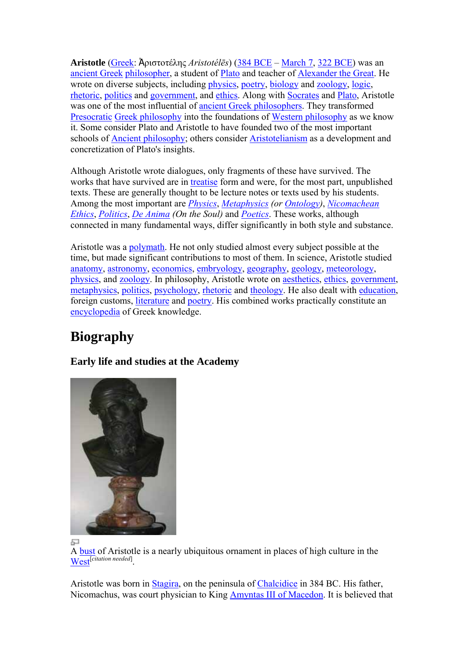**Aristotle** ([Greek:](http://www.answers.com/topic/greek-language) Ἀριστοτέλης *Aristotélēs*) [\(384 BCE](http://www.answers.com/topic/384-bc) – [March 7,](http://www.answers.com/topic/march-7-1) [322 BCE](http://www.answers.com/topic/322-bc)) was an [ancient Greek](http://www.answers.com/topic/ancient-greece) [philosopher,](http://www.answers.com/topic/greek-philosophy) a student of [Plato](http://www.answers.com/topic/plato-philosopher) and teacher of [Alexander the Great.](http://www.answers.com/topic/alexander-the-great) He wrote on diverse subjects, including [physics,](http://www.answers.com/topic/physics) [poetry,](http://www.answers.com/topic/poetry) [biology](http://www.answers.com/topic/biology-3) and [zoology](http://www.answers.com/topic/zoology), [logic](http://www.answers.com/topic/logic-1), [rhetoric](http://www.answers.com/topic/rhetoric), [politics](http://www.answers.com/topic/politics) and [government](http://www.answers.com/topic/government), and [ethics.](http://www.answers.com/topic/ethics-legal-term) Along with [Socrates](http://www.answers.com/topic/socrates) and [Plato,](http://www.answers.com/topic/plato-philosopher) Aristotle was one of the most influential of [ancient Greek philosophers.](http://www.answers.com/topic/greek-philosophy) They transformed [Presocratic](http://www.answers.com/topic/pre-socratic-philosophy) [Greek philosophy](http://www.answers.com/topic/greek-philosophy) into the foundations of [Western philosophy](http://www.answers.com/topic/western-philosophy) as we know it. Some consider Plato and Aristotle to have founded two of the most important schools of [Ancient philosophy](http://www.answers.com/topic/ancient-philosophy); others consider [Aristotelianism](http://www.answers.com/topic/aristotelianism-3) as a development and concretization of Plato's insights.

Although Aristotle wrote dialogues, only fragments of these have survived. The works that have survived are in [treatise](http://www.answers.com/topic/treatise) form and were, for the most part, unpublished texts. These are generally thought to be lecture notes or texts used by his students. Among the most important are *[Physics](http://www.answers.com/topic/physics-aristotle)*, *[Metaphysics](http://www.answers.com/topic/metaphysics-aristotle) (or [Ontology](http://www.answers.com/topic/ontology))*, *[Nicomachean](http://www.answers.com/topic/nicomachean-ethics)  [Ethics](http://www.answers.com/topic/nicomachean-ethics)*, *[Politics](http://www.answers.com/topic/politics-aristotle)*, *[De Anima](http://www.answers.com/topic/on-the-soul) (On the Soul)* and *[Poetics](http://www.answers.com/topic/poetics-aristotle)*. These works, although connected in many fundamental ways, differ significantly in both style and substance.

Aristotle was a [polymath](http://www.answers.com/topic/polymath). He not only studied almost every subject possible at the time, but made significant contributions to most of them. In science, Aristotle studied [anatomy](http://www.answers.com/topic/anatomy), [astronomy,](http://www.answers.com/topic/astronomy) [economics](http://www.answers.com/topic/economics), [embryology](http://www.answers.com/topic/embryology), [geography,](http://www.answers.com/topic/geography) [geology,](http://www.answers.com/topic/geology) [meteorology](http://www.answers.com/topic/meteorology), [physics](http://www.answers.com/topic/physics), and [zoology](http://www.answers.com/topic/zoology). In philosophy, Aristotle wrote on [aesthetics,](http://www.answers.com/topic/aesthetics) [ethics,](http://www.answers.com/topic/ethics-legal-term) [government](http://www.answers.com/topic/government), [metaphysics](http://www.answers.com/topic/metaphysics), [politics,](http://www.answers.com/topic/politics) [psychology](http://www.answers.com/topic/psychology), [rhetoric](http://www.answers.com/topic/rhetoric) and [theology.](http://www.answers.com/topic/theology) He also dealt with [education](http://www.answers.com/topic/education), foreign customs, [literature](http://www.answers.com/topic/literature) and [poetry](http://www.answers.com/topic/poetry). His combined works practically constitute an [encyclopedia](http://www.answers.com/topic/encyclopedia) of Greek knowledge.

# **Biography**

# **Early life and studies at the Academy**



石

A [bust](http://www.answers.com/topic/bust-sculpture) of Aristotle is a nearly ubiquitous ornament in places of high culture in the [West](http://www.answers.com/topic/western-world) [*citation needed*] .

Aristotle was born in [Stagira](http://www.answers.com/topic/stageira), on the peninsula of [Chalcidice](http://www.answers.com/topic/chalcidice) in 384 BC. His father, Nicomachus, was court physician to King [Amyntas III of Macedon.](http://www.answers.com/topic/amyntas-iii-of-macedon) It is believed that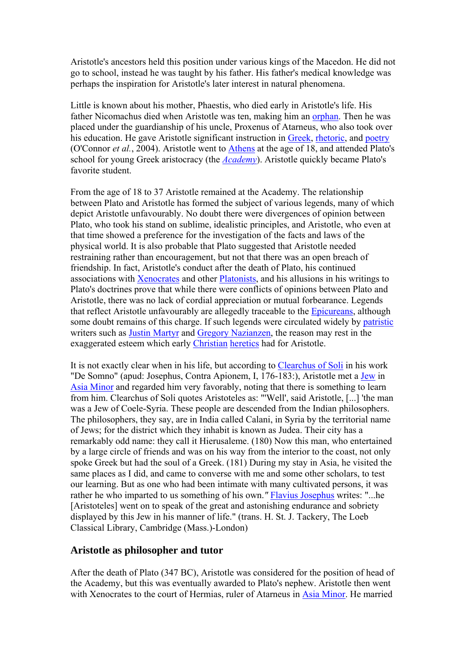Aristotle's ancestors held this position under various kings of the Macedon. He did not go to school, instead he was taught by his father. His father's medical knowledge was perhaps the inspiration for Aristotle's later interest in natural phenomena.

Little is known about his mother, Phaestis, who died early in Aristotle's life. His father Nicomachus died when Aristotle was ten, making him an [orphan](http://www.answers.com/topic/orphan). Then he was placed under the guardianship of his uncle, Proxenus of Atarneus, who also took over his education. He gave Aristotle significant instruction in [Greek,](http://www.answers.com/topic/greek-language) [rhetoric](http://www.answers.com/topic/rhetoric), and [poetry](http://www.answers.com/topic/poetry) (O'Connor *et al.*, 2004). Aristotle went to [Athens](http://www.answers.com/topic/athens) at the age of 18, and attended Plato's school for young Greek aristocracy (the *[Academy](http://www.answers.com/topic/academy)*). Aristotle quickly became Plato's favorite student.

From the age of 18 to 37 Aristotle remained at the Academy. The relationship between Plato and Aristotle has formed the subject of various legends, many of which depict Aristotle unfavourably. No doubt there were divergences of opinion between Plato, who took his stand on sublime, idealistic principles, and Aristotle, who even at that time showed a preference for the investigation of the facts and laws of the physical world. It is also probable that Plato suggested that Aristotle needed restraining rather than encouragement, but not that there was an open breach of friendship. In fact, Aristotle's conduct after the death of Plato, his continued associations with [Xenocrates](http://www.answers.com/topic/xenocrates) and other [Platonists,](http://www.answers.com/topic/platonic-idealism) and his allusions in his writings to Plato's doctrines prove that while there were conflicts of opinions between Plato and Aristotle, there was no lack of cordial appreciation or mutual forbearance. Legends that reflect Aristotle unfavourably are allegedly traceable to the [Epicureans,](http://www.answers.com/topic/epicureanism) although some doubt remains of this charge. If such legends were circulated widely by [patristic](http://www.answers.com/topic/church-fathers) writers such as [Justin Martyr](http://www.answers.com/topic/justin-martyr) and [Gregory Nazianzen,](http://www.answers.com/topic/gregory-of-nazianzus) the reason may rest in the exaggerated esteem which early [Christian](http://www.answers.com/topic/christianity) [heretics](http://www.answers.com/topic/heresy) had for Aristotle.

It is not exactly clear when in his life, but according to [Clearchus of Soli](http://www.answers.com/topic/clearchus-of-soli) in his work "De Somno" (apud: Josephus, Contra Apionem, I, 176-183:), Aristotle met a [Jew](http://www.answers.com/topic/jew) in [Asia Minor](http://www.answers.com/topic/anatolia) and regarded him very favorably, noting that there is something to learn from him. Clearchus of Soli quotes Aristoteles as: "'Well', said Aristotle, [...] 'the man was a Jew of Coele-Syria. These people are descended from the Indian philosophers. The philosophers, they say, are in India called Calani, in Syria by the territorial name of Jews; for the district which they inhabit is known as Judea. Their city has a remarkably odd name: they call it Hierusaleme. (180) Now this man, who entertained by a large circle of friends and was on his way from the interior to the coast, not only spoke Greek but had the soul of a Greek. (181) During my stay in Asia, he visited the same places as I did, and came to converse with me and some other scholars, to test our learning. But as one who had been intimate with many cultivated persons, it was rather he who imparted to us something of his own.*"* [Flavius Josephus](http://www.answers.com/topic/josephus) writes: "...he [Aristoteles] went on to speak of the great and astonishing endurance and sobriety displayed by this Jew in his manner of life." (trans. H. St. J. Tackery, The Loeb Classical Library, Cambridge (Mass.)-London)

### **Aristotle as philosopher and tutor**

After the death of Plato (347 BC), Aristotle was considered for the position of head of the Academy, but this was eventually awarded to Plato's nephew. Aristotle then went with Xenocrates to the court of Hermias, ruler of Atarneus in [Asia Minor.](http://www.answers.com/topic/anatolia) He married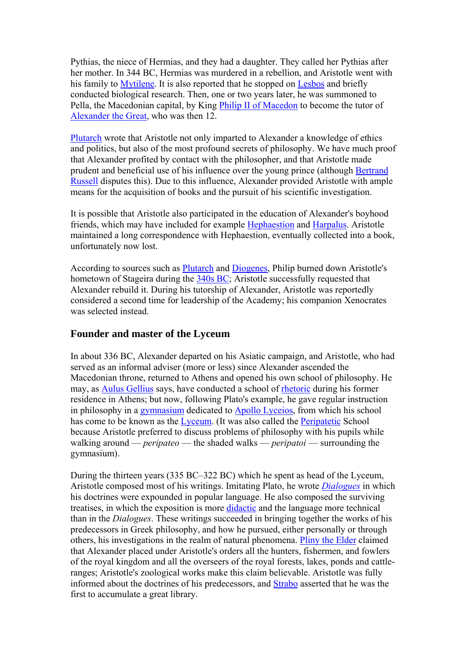Pythias, the niece of Hermias, and they had a daughter. They called her Pythias after her mother. In 344 BC, Hermias was murdered in a rebellion, and Aristotle went with his family to [Mytilene.](http://www.answers.com/topic/mytilene) It is also reported that he stopped on [Lesbos](http://www.answers.com/topic/lesbos-island) and briefly conducted biological research. Then, one or two years later, he was summoned to Pella, the Macedonian capital, by King [Philip II of Macedon](http://www.answers.com/topic/philip-ii-of-macedon) to become the tutor of [Alexander the Great](http://www.answers.com/topic/alexander-the-great), who was then 12.

[Plutarch](http://www.answers.com/topic/plutarch) wrote that Aristotle not only imparted to Alexander a knowledge of ethics and politics, but also of the most profound secrets of philosophy. We have much proof that Alexander profited by contact with the philosopher, and that Aristotle made prudent and beneficial use of his influence over the young prince (although [Bertrand](http://www.answers.com/topic/bertrand-russell)  [Russell](http://www.answers.com/topic/bertrand-russell) disputes this). Due to this influence, Alexander provided Aristotle with ample means for the acquisition of books and the pursuit of his scientific investigation.

It is possible that Aristotle also participated in the education of Alexander's boyhood friends, which may have included for example **Hephaestion** and **Harpalus**. Aristotle maintained a long correspondence with Hephaestion, eventually collected into a book, unfortunately now lost.

According to sources such as [Plutarch](http://www.answers.com/topic/plutarch) and [Diogenes,](http://www.answers.com/topic/diogenes) Philip burned down Aristotle's hometown of Stageira during the [340s BC;](http://www.answers.com/topic/340s-bc) Aristotle successfully requested that Alexander rebuild it. During his tutorship of Alexander, Aristotle was reportedly considered a second time for leadership of the Academy; his companion Xenocrates was selected instead.

### **Founder and master of the Lyceum**

In about 336 BC, Alexander departed on his Asiatic campaign, and Aristotle, who had served as an informal adviser (more or less) since Alexander ascended the Macedonian throne, returned to Athens and opened his own school of philosophy. He may, as [Aulus Gellius](http://www.answers.com/topic/aulus-gellius) says, have conducted a school of [rhetoric](http://www.answers.com/topic/rhetoric) during his former residence in Athens; but now, following Plato's example, he gave regular instruction in philosophy in a [gymnasium](http://www.answers.com/topic/gymnasium-ancient-greece) dedicated to [Apollo Lyceios,](http://www.answers.com/topic/apollo) from which his school has come to be known as the [Lyceum](http://www.answers.com/topic/lyceum-2). (It was also called the [Peripatetic](http://www.answers.com/topic/peripatetic) School because Aristotle preferred to discuss problems of philosophy with his pupils while walking around — *peripateo* — the shaded walks — *peripatoi* — surrounding the gymnasium).

During the thirteen years (335 BC–322 BC) which he spent as head of the Lyceum, Aristotle composed most of his writings. Imitating Plato, he wrote *[Dialogues](http://www.answers.com/topic/dialogue)* in which his doctrines were expounded in popular language. He also composed the surviving treatises, in which the exposition is more [didactic](http://www.answers.com/topic/didactic-poetry) and the language more technical than in the *Dialogues*. These writings succeeded in bringing together the works of his predecessors in Greek philosophy, and how he pursued, either personally or through others, his investigations in the realm of natural phenomena. [Pliny the Elder](http://www.answers.com/topic/pliny-the-elder) claimed that Alexander placed under Aristotle's orders all the hunters, fishermen, and fowlers of the royal kingdom and all the overseers of the royal forests, lakes, ponds and cattleranges; Aristotle's zoological works make this claim believable. Aristotle was fully informed about the doctrines of his predecessors, and [Strabo](http://www.answers.com/topic/strabo) asserted that he was the first to accumulate a great library.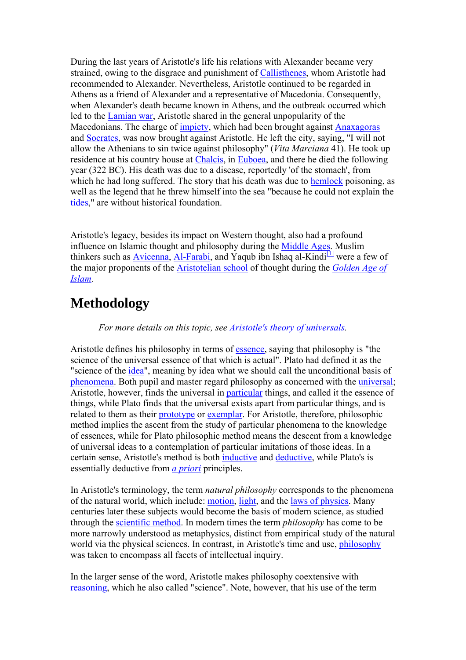During the last years of Aristotle's life his relations with Alexander became very strained, owing to the disgrace and punishment of [Callisthenes,](http://www.answers.com/topic/callisthenes) whom Aristotle had recommended to Alexander. Nevertheless, Aristotle continued to be regarded in Athens as a friend of Alexander and a representative of Macedonia. Consequently, when Alexander's death became known in Athens, and the outbreak occurred which led to the [Lamian war](http://www.answers.com/topic/lamian-war), Aristotle shared in the general unpopularity of the Macedonians. The charge of [impiety](http://www.answers.com/topic/impiety), which had been brought against [Anaxagoras](http://www.answers.com/topic/anaxagoras) and [Socrates,](http://www.answers.com/topic/socrates) was now brought against Aristotle. He left the city, saying, "I will not allow the Athenians to sin twice against philosophy" (*Vita Marciana* 41). He took up residence at his country house at [Chalcis](http://www.answers.com/topic/chalcis), in [Euboea,](http://www.answers.com/topic/euboea) and there he died the following year (322 BC). His death was due to a disease, reportedly 'of the stomach', from which he had long suffered. The story that his death was due to [hemlock](http://www.answers.com/topic/conium-1) poisoning, as well as the legend that he threw himself into the sea "because he could not explain the [tides,](http://www.answers.com/topic/tide)" are without historical foundation.

Aristotle's legacy, besides its impact on Western thought, also had a profound influence on Islamic thought and philosophy during the [Middle Ages.](http://www.answers.com/topic/middle-ages) Muslim thinkers such as [Avicenna,](http://www.answers.com/topic/avicenna) [Al-Farabi](http://www.answers.com/topic/al-farabi), and Yaqub ibn Ishaq al-Kindi<sup>[1]</sup> were a few of the major proponents of the [Aristotelian school](http://www.answers.com/topic/aristotelianism-3) of thought during the *[Golden Age of](http://www.answers.com/topic/islamic-golden-age)  [Islam](http://www.answers.com/topic/islamic-golden-age)*.

# **Methodology**

#### *For more details on this topic, see [Aristotle's theory of universals](http://www.answers.com/topic/aristotle-s-theory-of-universals).*

Aristotle defines his philosophy in terms of [essence,](http://www.answers.com/topic/essence) saying that philosophy is "the science of the universal essence of that which is actual". Plato had defined it as the "science of the [idea"](http://www.answers.com/topic/idea), meaning by idea what we should call the unconditional basis of [phenomena](http://www.answers.com/topic/phenomenon). Both pupil and master regard philosophy as concerned with the [universal;](http://www.answers.com/topic/universality-philosophy) Aristotle, however, finds the universal in [particular](http://www.answers.com/topic/particular) things, and called it the essence of things, while Plato finds that the universal exists apart from particular things, and is related to them as their [prototype](http://www.answers.com/topic/prototype) or [exemplar.](http://www.answers.com/topic/exemplar) For Aristotle, therefore, philosophic method implies the ascent from the study of particular phenomena to the knowledge of essences, while for Plato philosophic method means the descent from a knowledge of universal ideas to a contemplation of particular imitations of those ideas. In a certain sense, Aristotle's method is both [inductive](http://www.answers.com/topic/inductive-reasoning) and [deductive](http://www.answers.com/topic/deductive-reasoning-1), while Plato's is essentially deductive from *[a priori](http://www.answers.com/topic/a-priori-and-a-posteriori)* principles.

In Aristotle's terminology, the term *natural philosophy* corresponds to the phenomena of the natural world, which include: [motion,](http://www.answers.com/topic/motion-physics) [light](http://www.answers.com/topic/light), and the [laws of physics.](http://www.answers.com/topic/organic-law) Many centuries later these subjects would become the basis of modern science, as studied through the [scientific method.](http://www.answers.com/topic/scientific-method) In modern times the term *philosophy* has come to be more narrowly understood as metaphysics, distinct from empirical study of the natural world via the physical sciences. In contrast, in Aristotle's time and use, [philosophy](http://www.answers.com/topic/philosophy) was taken to encompass all facets of intellectual inquiry.

In the larger sense of the word, Aristotle makes philosophy coextensive with [reasoning,](http://www.answers.com/topic/reasoning) which he also called "science". Note, however, that his use of the term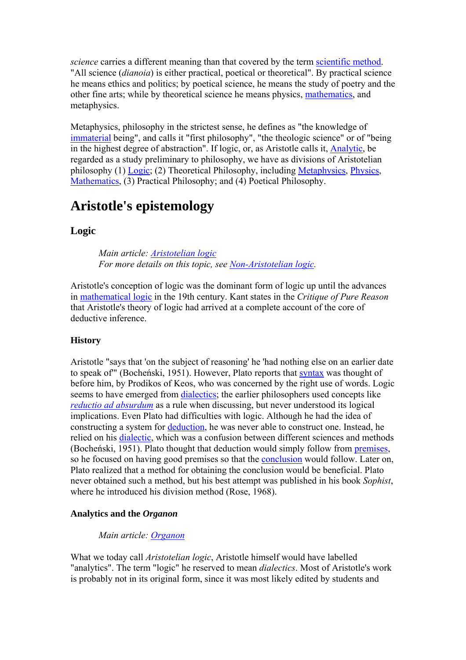*science* carries a different meaning than that covered by the term [scientific method.](http://www.answers.com/topic/scientific-method) "All science (*dianoia*) is either practical, poetical or theoretical". By practical science he means ethics and politics; by poetical science, he means the study of poetry and the other fine arts; while by theoretical science he means physics, [mathematics](http://www.answers.com/topic/mathematics), and metaphysics.

Metaphysics, philosophy in the strictest sense, he defines as "the knowledge of [immaterial](http://www.answers.com/topic/immaterialism-1) being", and calls it "first philosophy", "the theologic science" or of "being in the highest degree of abstraction". If logic, or, as Aristotle calls it, [Analytic](http://www.answers.com/topic/analytic), be regarded as a study preliminary to philosophy, we have as divisions of Aristotelian philosophy (1) [Logic](http://www.answers.com/topic/logic-1); (2) Theoretical Philosophy, including [Metaphysics](http://www.answers.com/topic/metaphysics), [Physics,](http://www.answers.com/topic/physics) [Mathematics,](http://www.answers.com/topic/mathematics) (3) Practical Philosophy; and (4) Poetical Philosophy.

# **Aristotle's epistemology**

## **Logic**

*Main article: [Aristotelian logic](http://www.answers.com/topic/aristotelian-logic) For more details on this topic, see [Non-Aristotelian logic.](http://www.answers.com/topic/non-aristotelian-logic)*

Aristotle's conception of logic was the dominant form of logic up until the advances in [mathematical logic](http://www.answers.com/topic/mathematical-logic) in the 19th century. Kant states in the *Critique of Pure Reason* that Aristotle's theory of logic had arrived at a complete account of the core of deductive inference.

## **History**

Aristotle "says that 'on the subject of reasoning' he 'had nothing else on an earlier date to speak of'" (Bocheński, 1951). However, Plato reports that [syntax](http://www.answers.com/topic/syntax) was thought of before him, by Prodikos of Keos, who was concerned by the right use of words. Logic seems to have emerged from [dialectics](http://www.answers.com/topic/dialectic); the earlier philosophers used concepts like *[reductio ad absurdum](http://www.answers.com/topic/reductio-ad-absurdum)* as a rule when discussing, but never understood its logical implications. Even Plato had difficulties with logic. Although he had the idea of constructing a system for [deduction](http://www.answers.com/topic/deduction), he was never able to construct one. Instead, he relied on his [dialectic,](http://www.answers.com/topic/dialectic) which was a confusion between different sciences and methods (Bocheński, 1951). Plato thought that deduction would simply follow from [premises](http://www.answers.com/topic/premise), so he focused on having good premises so that the [conclusion](http://www.answers.com/topic/conclusion) would follow. Later on, Plato realized that a method for obtaining the conclusion would be beneficial. Plato never obtained such a method, but his best attempt was published in his book *Sophist*, where he introduced his division method (Rose, 1968).

### **Analytics and the** *Organon*

### *Main article: [Organon](http://www.answers.com/topic/aristotelian-logic)*

What we today call *Aristotelian logic*, Aristotle himself would have labelled "analytics". The term "logic" he reserved to mean *dialectics*. Most of Aristotle's work is probably not in its original form, since it was most likely edited by students and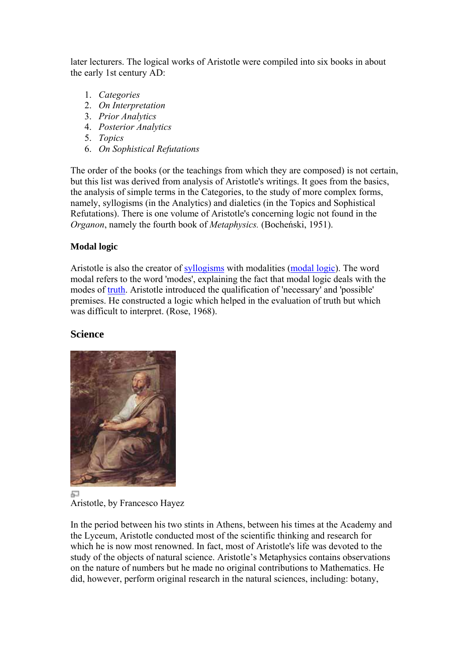later lecturers. The logical works of Aristotle were compiled into six books in about the early 1st century AD:

- 1. *Categories*
- 2. *On Interpretation*
- 3. *Prior Analytics*
- 4. *Posterior Analytics*
- 5. *Topics*
- 6. *On Sophistical Refutations*

The order of the books (or the teachings from which they are composed) is not certain, but this list was derived from analysis of Aristotle's writings. It goes from the basics, the analysis of simple terms in the Categories, to the study of more complex forms, namely, syllogisms (in the Analytics) and dialetics (in the Topics and Sophistical Refutations). There is one volume of Aristotle's concerning logic not found in the *Organon*, namely the fourth book of *Metaphysics.* (Bocheński, 1951).

### **Modal logic**

Aristotle is also the creator of [syllogisms](http://www.answers.com/topic/syllogism) with modalities [\(modal logic\)](http://www.answers.com/topic/modal-logic-3). The word modal refers to the word 'modes', explaining the fact that modal logic deals with the modes of [truth](http://www.answers.com/topic/truth). Aristotle introduced the qualification of 'necessary' and 'possible' premises. He constructed a logic which helped in the evaluation of truth but which was difficult to interpret. (Rose, 1968).

### **Science**



石 Aristotle, by Francesco Hayez

In the period between his two stints in Athens, between his times at the Academy and the Lyceum, Aristotle conducted most of the scientific thinking and research for which he is now most renowned. In fact, most of Aristotle's life was devoted to the study of the objects of natural science. Aristotle's Metaphysics contains observations on the nature of numbers but he made no original contributions to Mathematics. He did, however, perform original research in the natural sciences, including: botany,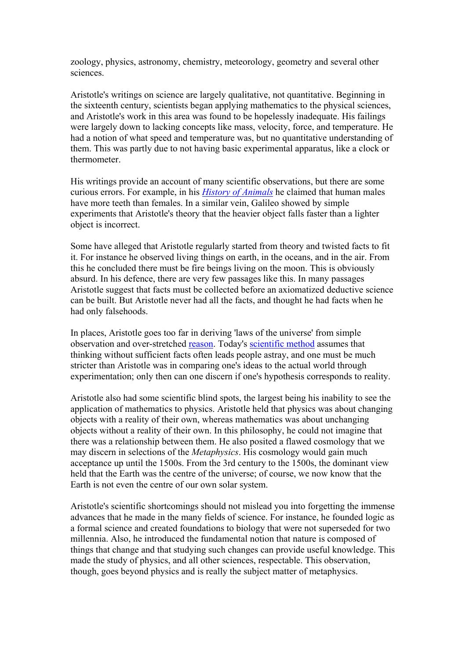zoology, physics, astronomy, chemistry, meteorology, geometry and several other sciences.

Aristotle's writings on science are largely qualitative, not quantitative. Beginning in the sixteenth century, scientists began applying mathematics to the physical sciences, and Aristotle's work in this area was found to be hopelessly inadequate. His failings were largely down to lacking concepts like mass, velocity, force, and temperature. He had a notion of what speed and temperature was, but no quantitative understanding of them. This was partly due to not having basic experimental apparatus, like a clock or thermometer.

His writings provide an account of many scientific observations, but there are some curious errors. For example, in his *[History of Animals](http://www.answers.com/topic/history-of-animals)* he claimed that human males have more teeth than females. In a similar vein, Galileo showed by simple experiments that Aristotle's theory that the heavier object falls faster than a lighter object is incorrect.

Some have alleged that Aristotle regularly started from theory and twisted facts to fit it. For instance he observed living things on earth, in the oceans, and in the air. From this he concluded there must be fire beings living on the moon. This is obviously absurd. In his defence, there are very few passages like this. In many passages Aristotle suggest that facts must be collected before an axiomatized deductive science can be built. But Aristotle never had all the facts, and thought he had facts when he had only falsehoods.

In places, Aristotle goes too far in deriving 'laws of the universe' from simple observation and over-stretched [reason](http://www.answers.com/topic/reason). Today's [scientific method](http://www.answers.com/topic/scientific-method) assumes that thinking without sufficient facts often leads people astray, and one must be much stricter than Aristotle was in comparing one's ideas to the actual world through experimentation; only then can one discern if one's hypothesis corresponds to reality.

Aristotle also had some scientific blind spots, the largest being his inability to see the application of mathematics to physics. Aristotle held that physics was about changing objects with a reality of their own, whereas mathematics was about unchanging objects without a reality of their own. In this philosophy, he could not imagine that there was a relationship between them. He also posited a flawed cosmology that we may discern in selections of the *Metaphysics*. His cosmology would gain much acceptance up until the 1500s. From the 3rd century to the 1500s, the dominant view held that the Earth was the centre of the universe; of course, we now know that the Earth is not even the centre of our own solar system.

Aristotle's scientific shortcomings should not mislead you into forgetting the immense advances that he made in the many fields of science. For instance, he founded logic as a formal science and created foundations to biology that were not superseded for two millennia. Also, he introduced the fundamental notion that nature is composed of things that change and that studying such changes can provide useful knowledge. This made the study of physics, and all other sciences, respectable. This observation, though, goes beyond physics and is really the subject matter of metaphysics.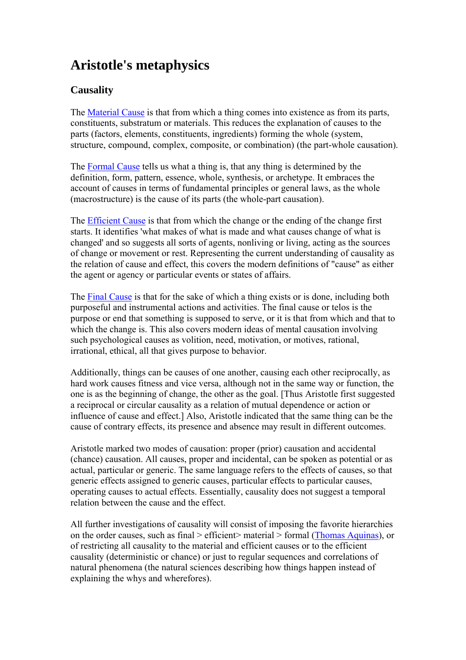# **Aristotle's metaphysics**

# **Causality**

The [Material Cause](http://www.answers.com/topic/material-cause) is that from which a thing comes into existence as from its parts, constituents, substratum or materials. This reduces the explanation of causes to the parts (factors, elements, constituents, ingredients) forming the whole (system, structure, compound, complex, composite, or combination) (the part-whole causation).

The [Formal Cause](http://www.answers.com/topic/formal-cause) tells us what a thing is, that any thing is determined by the definition, form, pattern, essence, whole, synthesis, or archetype. It embraces the account of causes in terms of fundamental principles or general laws, as the whole (macrostructure) is the cause of its parts (the whole-part causation).

The [Efficient Cause](http://www.answers.com/topic/efficient-cause-1) is that from which the change or the ending of the change first starts. It identifies 'what makes of what is made and what causes change of what is changed' and so suggests all sorts of agents, nonliving or living, acting as the sources of change or movement or rest. Representing the current understanding of causality as the relation of cause and effect, this covers the modern definitions of "cause" as either the agent or agency or particular events or states of affairs.

The [Final Cause](http://www.answers.com/topic/purpose) is that for the sake of which a thing exists or is done, including both purposeful and instrumental actions and activities. The final cause or telos is the purpose or end that something is supposed to serve, or it is that from which and that to which the change is. This also covers modern ideas of mental causation involving such psychological causes as volition, need, motivation, or motives, rational, irrational, ethical, all that gives purpose to behavior.

Additionally, things can be causes of one another, causing each other reciprocally, as hard work causes fitness and vice versa, although not in the same way or function, the one is as the beginning of change, the other as the goal. [Thus Aristotle first suggested a reciprocal or circular causality as a relation of mutual dependence or action or influence of cause and effect.] Also, Aristotle indicated that the same thing can be the cause of contrary effects, its presence and absence may result in different outcomes.

Aristotle marked two modes of causation: proper (prior) causation and accidental (chance) causation. All causes, proper and incidental, can be spoken as potential or as actual, particular or generic. The same language refers to the effects of causes, so that generic effects assigned to generic causes, particular effects to particular causes, operating causes to actual effects. Essentially, causality does not suggest a temporal relation between the cause and the effect.

All further investigations of causality will consist of imposing the favorite hierarchies on the order causes, such as final > efficient> material > formal ([Thomas Aquinas\)](http://www.answers.com/topic/thomas-aquinas), or of restricting all causality to the material and efficient causes or to the efficient causality (deterministic or chance) or just to regular sequences and correlations of natural phenomena (the natural sciences describing how things happen instead of explaining the whys and wherefores).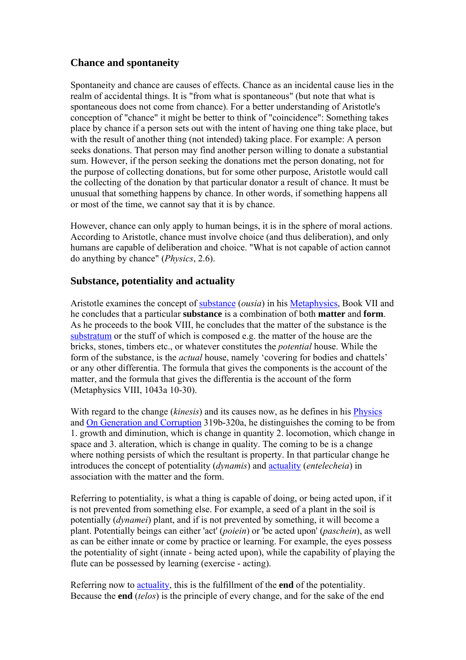# **Chance and spontaneity**

Spontaneity and chance are causes of effects. Chance as an incidental cause lies in the realm of accidental things. It is "from what is spontaneous" (but note that what is spontaneous does not come from chance). For a better understanding of Aristotle's conception of "chance" it might be better to think of "coincidence": Something takes place by chance if a person sets out with the intent of having one thing take place, but with the result of another thing (not intended) taking place. For example: A person seeks donations. That person may find another person willing to donate a substantial sum. However, if the person seeking the donations met the person donating, not for the purpose of collecting donations, but for some other purpose, Aristotle would call the collecting of the donation by that particular donator a result of chance. It must be unusual that something happens by chance. In other words, if something happens all or most of the time, we cannot say that it is by chance.

However, chance can only apply to human beings, it is in the sphere of moral actions. According to Aristotle, chance must involve choice (and thus deliberation), and only humans are capable of deliberation and choice. "What is not capable of action cannot do anything by chance" (*Physics*, 2.6).

### **Substance, potentiality and actuality**

Aristotle examines the concept of [substance](http://www.answers.com/topic/substance) (*ousia*) in his [Metaphysics,](http://www.answers.com/topic/metaphysics) Book VII and he concludes that a particular **substance** is a combination of both **matter** and **form**. As he proceeds to the book VIII, he concludes that the matter of the substance is the [substratum](http://www.answers.com/topic/substratum) or the stuff of which is composed e.g. the matter of the house are the bricks, stones, timbers etc., or whatever constitutes the *potential* house. While the form of the substance, is the *actual* house, namely 'covering for bodies and chattels' or any other differentia. The formula that gives the components is the account of the matter, and the formula that gives the differentia is the account of the form (Metaphysics VIII, 1043a 10-30).

With regard to the change (*kinesis*) and its causes now, as he defines in his [Physics](http://www.answers.com/topic/physics-aristotle) and [On Generation and Corruption](http://www.answers.com/topic/on-generation-and-corruption) 319b-320a, he distinguishes the coming to be from 1. growth and diminution, which is change in quantity 2. locomotion, which change in space and 3. alteration, which is change in quality. The coming to be is a change where nothing persists of which the resultant is property. In that particular change he introduces the concept of potentiality (*dynamis*) and [actuality](http://www.answers.com/topic/modal-logic-3) (*entelecheia*) in association with the matter and the form.

Referring to potentiality, is what a thing is capable of doing, or being acted upon, if it is not prevented from something else. For example, a seed of a plant in the soil is potentially (*dynamei*) plant, and if is not prevented by something, it will become a plant. Potentially beings can either 'act' (*poiein*) or 'be acted upon' (*paschein*), as well as can be either innate or come by practice or learning. For example, the eyes possess the potentiality of sight (innate - being acted upon), while the capability of playing the flute can be possessed by learning (exercise - acting).

Referring now to [actuality](http://www.answers.com/topic/modal-logic-3), this is the fulfillment of the **end** of the potentiality. Because the **end** (*telos*) is the principle of every change, and for the sake of the end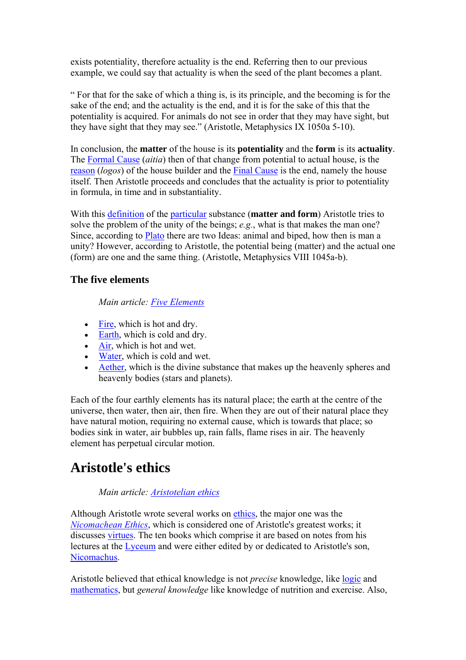exists potentiality, therefore actuality is the end. Referring then to our previous example, we could say that actuality is when the seed of the plant becomes a plant.

" For that for the sake of which a thing is, is its principle, and the becoming is for the sake of the end; and the actuality is the end, and it is for the sake of this that the potentiality is acquired. For animals do not see in order that they may have sight, but they have sight that they may see." (Aristotle, Metaphysics IX 1050a 5-10).

In conclusion, the **matter** of the house is its **potentiality** and the **form** is its **actuality**. The [Formal Cause](http://www.answers.com/topic/formal-cause) (*aitia*) then of that change from potential to actual house, is the [reason](http://www.answers.com/topic/reason) (*logos*) of the house builder and the [Final Cause](http://www.answers.com/topic/purpose) is the end, namely the house itself. Then Aristotle proceeds and concludes that the actuality is prior to potentiality in formula, in time and in substantiality.

With this [definition](http://www.answers.com/topic/definition) of the [particular](http://www.answers.com/topic/particular) substance (**matter and form**) Aristotle tries to solve the problem of the unity of the beings; *e.g.*, what is that makes the man one? Since, according to [Plato](http://www.answers.com/topic/plato-philosopher) there are two Ideas: animal and biped, how then is man a unity? However, according to Aristotle, the potential being (matter) and the actual one (form) are one and the same thing. (Aristotle, Metaphysics VIII 1045a-b).

### **The five elements**

*Main article: [Five Elements](http://www.answers.com/topic/five-elements)*

- [Fire](http://www.answers.com/topic/fire-classical-element), which is hot and dry.
- [Earth,](http://www.answers.com/topic/earth-wordnet) which is cold and dry.
- [Air](http://www.answers.com/topic/air-classical-element), which is hot and wet.
- [Water](http://www.answers.com/topic/water-classical-element), which is cold and wet.
- [Aether,](http://www.answers.com/topic/aether-classical-element) which is the divine substance that makes up the heavenly spheres and heavenly bodies (stars and planets).

Each of the four earthly elements has its natural place; the earth at the centre of the universe, then water, then air, then fire. When they are out of their natural place they have natural motion, requiring no external cause, which is towards that place; so bodies sink in water, air bubbles up, rain falls, flame rises in air. The heavenly element has perpetual circular motion.

# **Aristotle's ethics**

### *Main article: [Aristotelian ethics](http://www.answers.com/topic/aristotelian-ethics)*

Although Aristotle wrote several works on [ethics,](http://www.answers.com/topic/ethics-legal-term) the major one was the *[Nicomachean Ethics](http://www.answers.com/topic/nicomachean-ethics)*, which is considered one of Aristotle's greatest works; it discusses [virtues](http://www.answers.com/topic/virtue). The ten books which comprise it are based on notes from his lectures at the [Lyceum](http://www.answers.com/topic/lyceum-2) and were either edited by or dedicated to Aristotle's son, [Nicomachus](http://www.answers.com/topic/nicomachus).

Aristotle believed that ethical knowledge is not *precise* knowledge, like [logic](http://www.answers.com/topic/logic-1) and [mathematics,](http://www.answers.com/topic/mathematics) but *general knowledge* like knowledge of nutrition and exercise. Also,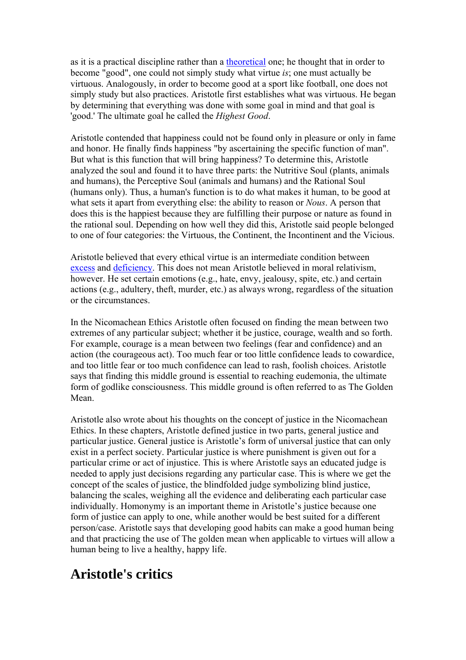as it is a practical discipline rather than a [theoretical](http://www.answers.com/topic/theory) one; he thought that in order to become "good", one could not simply study what virtue *is*; one must actually be virtuous. Analogously, in order to become good at a sport like football, one does not simply study but also practices. Aristotle first establishes what was virtuous. He began by determining that everything was done with some goal in mind and that goal is 'good.' The ultimate goal he called the *Highest Good*.

Aristotle contended that happiness could not be found only in pleasure or only in fame and honor. He finally finds happiness "by ascertaining the specific function of man". But what is this function that will bring happiness? To determine this, Aristotle analyzed the soul and found it to have three parts: the Nutritive Soul (plants, animals and humans), the Perceptive Soul (animals and humans) and the Rational Soul (humans only). Thus, a human's function is to do what makes it human, to be good at what sets it apart from everything else: the ability to reason or *Nous*. A person that does this is the happiest because they are fulfilling their purpose or nature as found in the rational soul. Depending on how well they did this, Aristotle said people belonged to one of four categories: the Virtuous, the Continent, the Incontinent and the Vicious.

Aristotle believed that every ethical virtue is an intermediate condition between [excess](http://www.answers.com/topic/excess-4) and [deficiency.](http://www.answers.com/topic/deficiency-1) This does not mean Aristotle believed in moral relativism, however. He set certain emotions (e.g., hate, envy, jealousy, spite, etc.) and certain actions (e.g., adultery, theft, murder, etc.) as always wrong, regardless of the situation or the circumstances.

In the Nicomachean Ethics Aristotle often focused on finding the mean between two extremes of any particular subject; whether it be justice, courage, wealth and so forth. For example, courage is a mean between two feelings (fear and confidence) and an action (the courageous act). Too much fear or too little confidence leads to cowardice, and too little fear or too much confidence can lead to rash, foolish choices. Aristotle says that finding this middle ground is essential to reaching eudemonia, the ultimate form of godlike consciousness. This middle ground is often referred to as The Golden Mean.

Aristotle also wrote about his thoughts on the concept of justice in the Nicomachean Ethics. In these chapters, Aristotle defined justice in two parts, general justice and particular justice. General justice is Aristotle's form of universal justice that can only exist in a perfect society. Particular justice is where punishment is given out for a particular crime or act of injustice. This is where Aristotle says an educated judge is needed to apply just decisions regarding any particular case. This is where we get the concept of the scales of justice, the blindfolded judge symbolizing blind justice, balancing the scales, weighing all the evidence and deliberating each particular case individually. Homonymy is an important theme in Aristotle's justice because one form of justice can apply to one, while another would be best suited for a different person/case. Aristotle says that developing good habits can make a good human being and that practicing the use of The golden mean when applicable to virtues will allow a human being to live a healthy, happy life.

# **Aristotle's critics**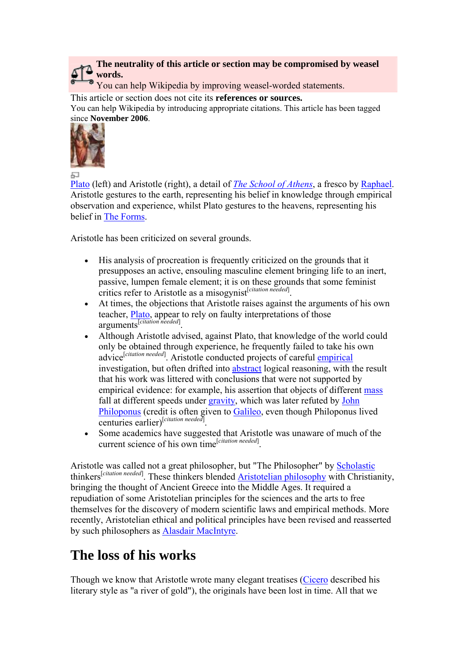## **The neutrality of this article or section may be compromised by weasel words.**

You can help Wikipedia by improving weasel-worded statements.

This article or section does not cite its **references or sources.** You can help Wikipedia by introducing appropriate citations. This article has been tagged since **November 2006**.



[Plato](http://www.answers.com/topic/plato-philosopher) (left) and Aristotle (right), a detail of *[The School of Athens](http://www.answers.com/topic/the-school-of-athens)*, a fresco by [Raphael](http://www.answers.com/topic/raphael). Aristotle gestures to the earth, representing his belief in knowledge through empirical observation and experience, whilst Plato gestures to the heavens, representing his belief in [The Forms.](http://www.answers.com/topic/theory-of-forms)

Aristotle has been criticized on several grounds.

- His analysis of procreation is frequently criticized on the grounds that it presupposes an active, ensouling masculine element bringing life to an inert, passive, lumpen female element; it is on these grounds that some feminist critics refer to Aristotle as a misogynist[*citation needed*] .
- At times, the objections that Aristotle raises against the arguments of his own teacher, [Plato](http://www.answers.com/topic/plato-philosopher), appear to rely on faulty interpretations of those arguments[*citation needed*] .
- Although Aristotle advised, against Plato, that knowledge of the world could only be obtained through experience, he frequently failed to take his own advice<sup>[citation needed]</sup>. Aristotle conducted projects of careful *empirical* investigation, but often drifted into [abstract](http://www.answers.com/topic/abstraction-4) logical reasoning, with the result that his work was littered with conclusions that were not supported by empirical evidence: for example, his assertion that objects of different [mass](http://www.answers.com/topic/mass) fall at different speeds under [gravity](http://www.answers.com/topic/gravity), which was later refuted by John [Philoponus](http://www.answers.com/topic/john-philoponus) (credit is often given to [Galileo](http://www.answers.com/topic/galileo-galilei), even though Philoponus lived centuries earlier)[*citation needed*] .
- Some academics have suggested that Aristotle was unaware of much of the current science of his own time [*citation needed*] .

Aristotle was called not a great philosopher, but "The Philosopher" by [Scholastic](http://www.answers.com/topic/scholasticism) thinkers[*citation needed*] . These thinkers blended [Aristotelian philosophy](http://www.answers.com/topic/aristotelianism-3) with Christianity, bringing the thought of Ancient Greece into the Middle Ages. It required a repudiation of some Aristotelian principles for the sciences and the arts to free themselves for the discovery of modern scientific laws and empirical methods. More recently, Aristotelian ethical and political principles have been revised and reasserted by such philosophers as [Alasdair MacIntyre.](http://www.answers.com/topic/alasdair-macintyre)

# **The loss of his works**

Though we know that Aristotle wrote many elegant treatises ([Cicero](http://www.answers.com/topic/cicero) described his literary style as "a river of gold"), the originals have been lost in time. All that we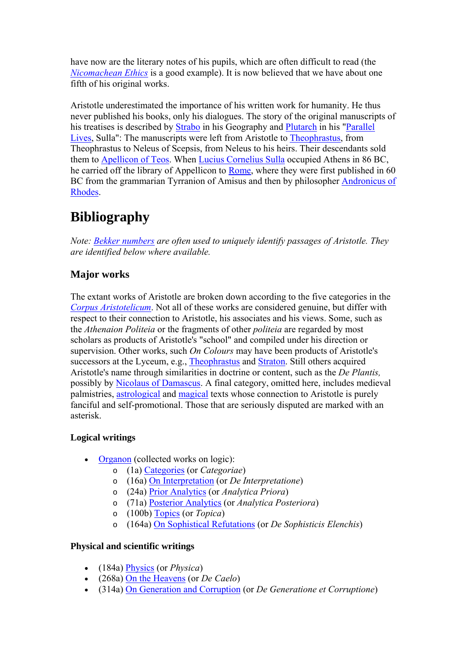have now are the literary notes of his pupils, which are often difficult to read (the *[Nicomachean Ethics](http://www.answers.com/topic/nicomachean-ethics)* is a good example). It is now believed that we have about one fifth of his original works.

Aristotle underestimated the importance of his written work for humanity. He thus never published his books, only his dialogues. The story of the original manuscripts of his treatises is described by [Strabo](http://www.answers.com/topic/strabo) in his Geography and [Plutarch](http://www.answers.com/topic/plutarch) in his "[Parallel](http://www.answers.com/topic/parallel-lives)  [Lives,](http://www.answers.com/topic/parallel-lives) Sulla": The manuscripts were left from Aristotle to [Theophrastus,](http://www.answers.com/topic/theophrastus) from Theophrastus to Neleus of Scepsis, from Neleus to his heirs. Their descendants sold them to [Apellicon of Teos](http://www.answers.com/topic/apellicon-of-teos). When [Lucius Cornelius Sulla](http://www.answers.com/topic/lucius-cornelius-sulla) occupied Athens in 86 BC, he carried off the library of Appellicon to [Rome](http://www.answers.com/topic/rome), where they were first published in 60 BC from the grammarian Tyrranion of Amisus and then by philosopher [Andronicus of](http://www.answers.com/topic/andronicus-of-rhodes)  [Rhodes](http://www.answers.com/topic/andronicus-of-rhodes).

# **Bibliography**

*Note: [Bekker numbers](http://www.answers.com/topic/bekker-numbers) are often used to uniquely identify passages of Aristotle. They are identified below where available.*

# **Major works**

The extant works of Aristotle are broken down according to the five categories in the *[Corpus Aristotelicum](http://www.answers.com/topic/corpus-aristotelicum)*. Not all of these works are considered genuine, but differ with respect to their connection to Aristotle, his associates and his views. Some, such as the *Athenaion Politeia* or the fragments of other *politeia* are regarded by most scholars as products of Aristotle's "school" and compiled under his direction or supervision. Other works, such *On Colours* may have been products of Aristotle's successors at the Lyceum, e.g., [Theophrastus](http://www.answers.com/topic/theophrastus) and [Straton](http://www.answers.com/topic/straton). Still others acquired Aristotle's name through similarities in doctrine or content, such as the *De Plantis,* possibly by [Nicolaus of Damascus](http://www.answers.com/topic/nicolaus-of-damascus). A final category, omitted here, includes medieval palmistries, [astrological](http://www.answers.com/topic/astrology) and [magical](http://www.answers.com/topic/magic) texts whose connection to Aristotle is purely fanciful and self-promotional. Those that are seriously disputed are marked with an asterisk.

## **Logical writings**

- [Organon](http://www.answers.com/topic/aristotelian-logic) (collected works on logic):
	- o (1a) [Categories](http://www.answers.com/topic/categories-aristotle) (or *Categoriae*)
	- o (16a) [On Interpretation](http://www.answers.com/topic/on-interpretation) (or *De Interpretatione*)
	- o (24a) [Prior Analytics](http://www.answers.com/topic/prior-analytics) (or *Analytica Priora*)
	- o (71a) [Posterior Analytics](http://www.answers.com/topic/posterior-analytics) (or *Analytica Posteriora*)
	- o (100b) [Topics](http://www.answers.com/topic/topics) (or *Topica*)
	- o (164a) [On Sophistical Refutations](http://www.answers.com/topic/on-sophistical-refutations) (or *De Sophisticis Elenchis*)

## **Physical and scientific writings**

- (184a) [Physics](http://www.answers.com/topic/physics-aristotle) (or *Physica*)
- (268a) [On the Heavens](http://www.answers.com/topic/on-the-heavens) (or *De Caelo*)
- (314a) [On Generation and Corruption](http://www.answers.com/topic/on-generation-and-corruption) (or *De Generatione et Corruptione*)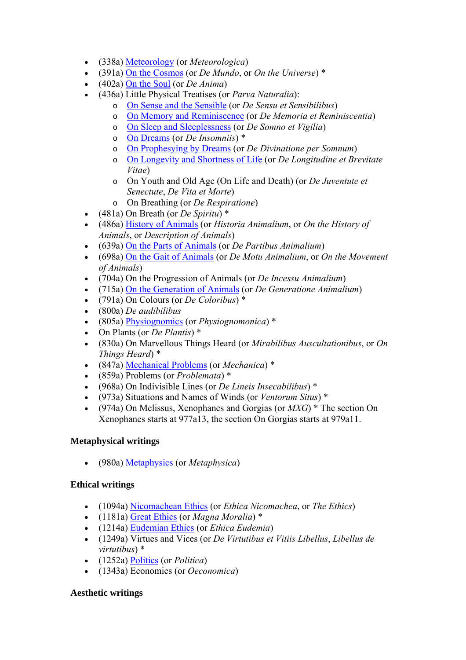- (338a) [Meteorology](http://www.answers.com/topic/meteorology-aristotle) (or *Meteorologica*)
- (391a) [On the Cosmos](http://www.answers.com/topic/on-the-cosmos) (or *De Mundo*, or *On the Universe*) \*
- (402a) [On the Soul](http://www.answers.com/topic/on-the-soul) (or *De Anima*)
- (436a) Little Physical Treatises (or *Parva Naturalia*):
	- o [On Sense and the Sensible](http://www.answers.com/topic/on-sense-and-the-sensible) (or *De Sensu et Sensibilibus*)
	- o [On Memory and Reminiscence](http://www.answers.com/topic/on-memory-and-reminiscence) (or *De Memoria et Reminiscentia*)
	- o [On Sleep and Sleeplessness](http://www.answers.com/topic/on-sleep-and-sleeplessness) (or *De Somno et Vigilia*)
	- o [On Dreams](http://www.answers.com/topic/on-dreams) (or *De Insomniis*) \*
	- o [On Prophesying by Dreams](http://www.answers.com/topic/on-prophesying-by-dreams) (or *De Divinatione per Somnum*)
	- o [On Longevity and Shortness of Life](http://www.answers.com/topic/on-longevity-and-shortness-of-life) (or *De Longitudine et Brevitate Vitae*)
	- o On Youth and Old Age (On Life and Death) (or *De Juventute et Senectute*, *De Vita et Morte*)
	- o On Breathing (or *De Respiratione*)
- (481a) On Breath (or *De Spiritu*) \*
- (486a) [History of Animals](http://www.answers.com/topic/history-of-animals) (or *Historia Animalium*, or *On the History of Animals*, or *Description of Animals*)
- (639a) [On the Parts of Animals](http://www.answers.com/topic/on-the-parts-of-animals) (or *De Partibus Animalium*)
- (698a) [On the Gait of Animals](http://www.answers.com/topic/on-the-gait-of-animals) (or *De Motu Animalium*, or *On the Movement of Animals*)
- (704a) On the Progression of Animals (or *De Incessu Animalium*)
- (715a) [On the Generation of Animals](http://www.answers.com/topic/generation-of-animals) (or *De Generatione Animalium*)
- (791a) On Colours (or *De Coloribus*) \*
- (800a) *De audibilibus*
- (805a) [Physiognomics](http://www.answers.com/topic/physiognomy) (or *Physiognomonica*) \*
- On Plants (or *De Plantis*) \*
- (830a) On Marvellous Things Heard (or *Mirabilibus Auscultationibus*, or *On Things Heard*) \*
- (847a) [Mechanical Problems](http://www.answers.com/topic/mechanical-problems) (or *Mechanica*) \*
- (859a) Problems (or *Problemata*) \*
- (968a) On Indivisible Lines (or *De Lineis Insecabilibus*) \*
- (973a) Situations and Names of Winds (or *Ventorum Situs*) \*
- (974a) On Melissus, Xenophanes and Gorgias (or *MXG*) \* The section On Xenophanes starts at 977a13, the section On Gorgias starts at 979a11.

### **Metaphysical writings**

• (980a) [Metaphysics](http://www.answers.com/topic/metaphysics-aristotle) (or *Metaphysica*)

### **Ethical writings**

- (1094a) [Nicomachean Ethics](http://www.answers.com/topic/nicomachean-ethics) (or *Ethica Nicomachea*, or *The Ethics*)
- (1181a) [Great Ethics](http://www.answers.com/topic/magna-moralia) (or *Magna Moralia*) \*
- (1214a) [Eudemian Ethics](http://www.answers.com/topic/eudemian-ethics) (or *Ethica Eudemia*)
- (1249a) Virtues and Vices (or *De Virtutibus et Vitiis Libellus*, *Libellus de virtutibus*) \*
- (1252a) [Politics](http://www.answers.com/topic/politics-aristotle) (or *Politica*)
- (1343a) Economics (or *Oeconomica*)

### **Aesthetic writings**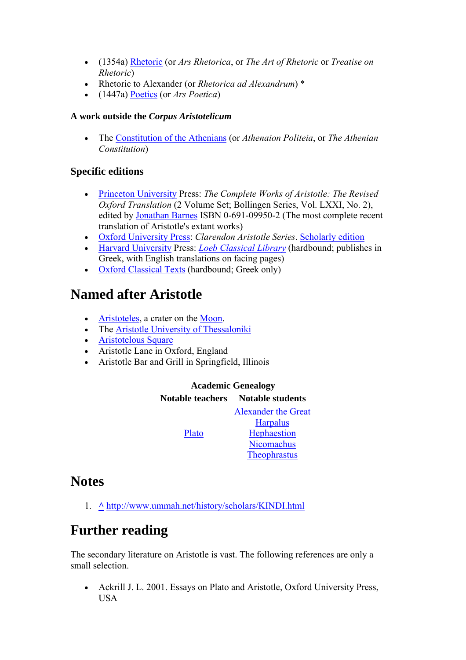- (1354a) [Rhetoric](http://www.answers.com/topic/rhetoric-aristotle) (or *Ars Rhetorica*, or *The Art of Rhetoric* or *Treatise on Rhetoric*)
- Rhetoric to Alexander (or *Rhetorica ad Alexandrum*) \*
- (1447a) [Poetics](http://www.answers.com/topic/poetics-aristotle) (or *Ars Poetica*)

# **A work outside the** *Corpus Aristotelicum*

• The [Constitution of the Athenians](http://www.answers.com/topic/constitution-of-athens) (or *Athenaion Politeia*, or *The Athenian Constitution*)

# **Specific editions**

- [Princeton University](http://www.answers.com/topic/princeton-university) Press: *The Complete Works of Aristotle: The Revised Oxford Translation* (2 Volume Set; Bollingen Series, Vol. LXXI, No. 2), edited by [Jonathan Barnes](http://www.answers.com/topic/jonathan-barnes) ISBN 0-691-09950-2 (The most complete recent translation of Aristotle's extant works)
- [Oxford University Press:](http://www.answers.com/topic/oxford-university-press) *Clarendon Aristotle Series*. [Scholarly edition](http://www.oup.com/us/catalog/general/series/ClarendonAristotleSeries/?view=usa)
- [Harvard University](http://www.answers.com/topic/harvard-university) Press: *[Loeb Classical Library](http://www.answers.com/topic/loeb-classical-library)* (hardbound; publishes in Greek, with English translations on facing pages)
- [Oxford Classical Texts](http://www.answers.com/topic/oxford-classical-texts) (hardbound; Greek only)

# **Named after Aristotle**

- [Aristoteles,](http://www.answers.com/topic/aristoteles) a crater on the [Moon.](http://www.answers.com/topic/moon)
- The Aristotle University of Thessaloniki
- [Aristotelous Square](http://www.answers.com/topic/aristotelous-square)
- Aristotle Lane in Oxford, England
- Aristotle Bar and Grill in Springfield, Illinois

#### **Academic Genealogy Notable teachers Notable students**  [Plato](http://www.answers.com/topic/plato-philosopher) [Alexander the Great](http://www.answers.com/topic/alexander-the-great) **[Harpalus](http://www.answers.com/topic/harpalus-1) [Hephaestion](http://www.answers.com/topic/hephaestion)** [Nicomachus](http://www.answers.com/topic/nicomachus) **[Theophrastus](http://www.answers.com/topic/theophrastus)**

# **Notes**

1. **^** <http://www.ummah.net/history/scholars/KINDI.html>

# **Further reading**

The secondary literature on Aristotle is vast. The following references are only a small selection.

• Ackrill J. L. 2001. Essays on Plato and Aristotle, Oxford University Press, USA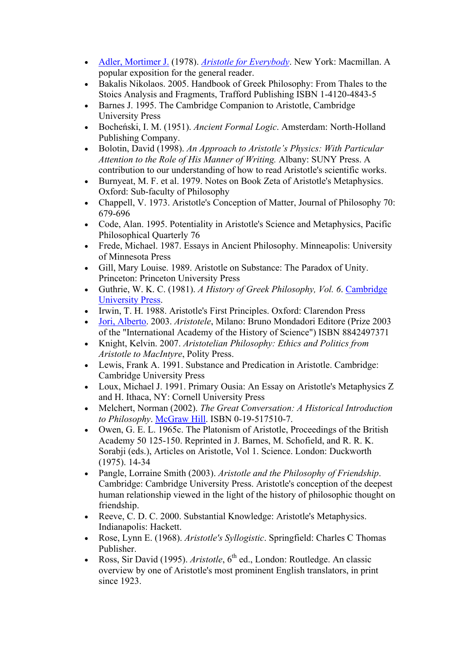- [Adler, Mortimer J.](http://www.answers.com/topic/mortimer-adler) (1978). *[Aristotle for Everybody](http://www.answers.com/topic/aristotle-for-everybody)*. New York: Macmillan. A popular exposition for the general reader.
- Bakalis Nikolaos. 2005. Handbook of Greek Philosophy: From Thales to the Stoics Analysis and Fragments, Trafford Publishing ISBN 1-4120-4843-5
- Barnes J. 1995. The Cambridge Companion to Aristotle, Cambridge University Press
- Bocheński, I. M. (1951). *Ancient Formal Logic*. Amsterdam: North-Holland Publishing Company.
- Bolotin, David (1998). *An Approach to Aristotle's Physics: With Particular Attention to the Role of His Manner of Writing.* Albany: SUNY Press. A contribution to our understanding of how to read Aristotle's scientific works.
- Burnyeat, M. F. et al. 1979. Notes on Book Zeta of Aristotle's Metaphysics. Oxford: Sub-faculty of Philosophy
- Chappell, V. 1973. Aristotle's Conception of Matter, Journal of Philosophy 70: 679-696
- Code, Alan. 1995. Potentiality in Aristotle's Science and Metaphysics, Pacific Philosophical Quarterly 76
- Frede, Michael. 1987. Essays in Ancient Philosophy. Minneapolis: University of Minnesota Press
- Gill, Mary Louise. 1989. Aristotle on Substance: The Paradox of Unity. Princeton: Princeton University Press
- Guthrie, W. K. C. (1981). *A History of Greek Philosophy, Vol. 6*. [Cambridge](http://www.answers.com/topic/cambridge-university-press)  [University Press](http://www.answers.com/topic/cambridge-university-press).
- Irwin, T. H. 1988. Aristotle's First Principles. Oxford: Clarendon Press
- [Jori, Alberto.](http://www.answers.com/topic/alberto-jori) 2003. *Aristotele*, Milano: Bruno Mondadori Editore (Prize 2003 of the "International Academy of the History of Science") ISBN 8842497371
- Knight, Kelvin. 2007. *Aristotelian Philosophy: Ethics and Politics from Aristotle to MacIntyre*, Polity Press.
- Lewis, Frank A. 1991. Substance and Predication in Aristotle. Cambridge: Cambridge University Press
- Loux, Michael J. 1991. Primary Ousia: An Essay on Aristotle's Metaphysics Ζ and Η. Ithaca, NY: Cornell University Press
- Melchert, Norman (2002). *The Great Conversation: A Historical Introduction to Philosophy*. [McGraw Hill.](http://www.answers.com/topic/mcgraw-hill) ISBN 0-19-517510-7.
- Owen, G. E. L. 1965c. The Platonism of Aristotle, Proceedings of the British Academy 50 125-150. Reprinted in J. Barnes, M. Schofield, and R. R. K. Sorabii (eds.), Articles on Aristotle, Vol 1. Science, London: Duckworth (1975). 14-34
- Pangle, Lorraine Smith (2003). *Aristotle and the Philosophy of Friendship*. Cambridge: Cambridge University Press. Aristotle's conception of the deepest human relationship viewed in the light of the history of philosophic thought on friendship.
- Reeve, C. D. C. 2000. Substantial Knowledge: Aristotle's Metaphysics. Indianapolis: Hackett.
- Rose, Lynn E. (1968). *Aristotle's Syllogistic*. Springfield: Charles C Thomas Publisher.
- Ross, Sir David (1995). *Aristotle*, 6<sup>th</sup> ed., London: Routledge. An classic overview by one of Aristotle's most prominent English translators, in print since 1923.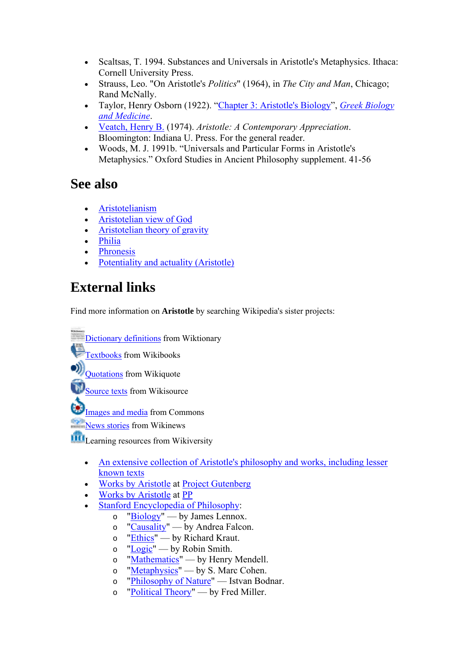- Scaltsas, T. 1994. Substances and Universals in Aristotle's Metaphysics. Ithaca: Cornell University Press.
- Strauss, Leo. "On Aristotle's *Politics*" (1964), in *The City and Man*, Chicago; Rand McNally.
- Taylor, Henry Osborn (1922). "[Chapter 3: Aristotle's Biology"](http://www.ancientlibrary.com/medicine/0051.html), *[Greek Biology](http://www.ancientlibrary.com/medicine/index.html)  [and Medicine](http://www.ancientlibrary.com/medicine/index.html)*.
- [Veatch, Henry B.](http://www.answers.com/topic/henry-babcock-veatch) (1974). *Aristotle: A Contemporary Appreciation*. Bloomington: Indiana U. Press. For the general reader.
- Woods, M. J. 1991b. "Universals and Particular Forms in Aristotle's Metaphysics." Oxford Studies in Ancient Philosophy supplement. 41-56

# **See also**

- [Aristotelianism](http://www.answers.com/topic/aristotelianism-3)
- [Aristotelian view of God](http://www.answers.com/topic/aristotelian-view-of-god)
- [Aristotelian theory of gravity](http://www.answers.com/topic/aristotelian-theory-of-gravity)
- [Philia](http://www.answers.com/topic/philia-1)
- Phronesis
- [Potentiality and actuality \(Aristotle\)](http://www.answers.com/topic/potentiality-and-actuality)

# **External links**

Find more information on **Aristotle** by searching Wikipedia's sister projects:

**Dictionary definitions [from Wiktionary](http://en.wiktionary.org/wiki/Special:Search/Aristotle)** [Textbooks](http://en.wiktionary.org/wiki/Special:Search/Aristotle) from Wikibooks Quotations from Wikiquote **N** [Source texts](http://en.wikibooks.org/wiki/Special:Search/Aristotle) from Wikisource Images and media [from Commons](http://en.wikiquote.org/wiki/Special:Search/Aristotle)  [News stories](http://en.wikiquote.org/wiki/Special:Search/Aristotle) from Wikinews **IIII** Learning resources from Wikiversity

- An extensive collection of Aristotle's philosophy and works, including lesser [known texts](http://www.non-contradiction.com/)
- [Works by Aristotle](http://www.gutenberg.org/author/Aristotle) at [Project Gutenberg](http://www.answers.com/topic/project-gutenberg)
- [Works by Aristotle](http://www.perseus.tufts.edu/cgi-bin/perscoll?.submit=Change&collection=Any&type=text&lang=Any&lookup=Aristotle) at [PP](http://www.answers.com/topic/perseus-project)
- [Stanford Encyclopedia of Philosophy:](http://www.answers.com/topic/stanford-encyclopedia-of-philosophy)
	- o "[Biology"](http://setis.library.usyd.edu.au/stanford/entries/aristotle-biology/) by James Lennox.
	- o "[Causality](http://setis.library.usyd.edu.au/stanford/entries/aristotle-causality/)" by Andrea Falcon.
	- o "[Ethics"](http://setis.library.usyd.edu.au/stanford/entries/aristotle-ethics/) by Richard Kraut.
	- o "[Logic"](http://setis.library.usyd.edu.au/stanford/entries/aristotle-logic/) by Robin Smith.
	- o "[Mathematics"](http://setis.library.usyd.edu.au/stanford/entries/aristotle-mathematics/) by Henry Mendell.
	- o "[Metaphysics"](http://setis.library.usyd.edu.au/stanford/entries/aristotle-metaphysics/) by S. Marc Cohen.
	- o "[Philosophy of Nature"](http://setis.library.usyd.edu.au/stanford/entries/aristotle-natphil/) Istvan Bodnar.
	- o "[Political Theory"](http://setis.library.usyd.edu.au/stanford/entries/aristotle-politics/) by Fred Miller.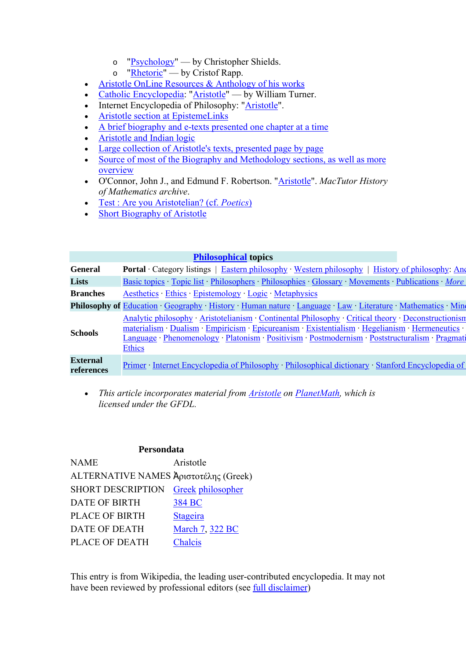- o "[Psychology"](http://setis.library.usyd.edu.au/stanford/entries/aristotle-psychology/) by Christopher Shields.
- o "[Rhetoric](http://setis.library.usyd.edu.au/stanford/entries/aristotle-rhetoric/)" by Cristof Rapp.
- Aristotle OnLine Resources & Anthology of his works
- [Catholic Encyclopedia:](http://www.answers.com/topic/catholic-encyclopedia) ["Aristotle](http://www.newadvent.org/cathen/01713a.htm)" by William Turner.
- Internet Encyclopedia of Philosophy: "[Aristotle"](http://www.utm.edu/research/iep/a/aristotl.htm).
- [Aristotle section at EpistemeLinks](http://www.epistemelinks.com/Main/Philosophers.aspx?PhilCode=Aris)
- [A brief biography and e-texts presented one chapter at a time](http://aristotle.thefreelibrary.com/)
- [Aristotle and Indian logic](http://uk.arxiv.org/abs/physics/0505172)
- [Large collection of Aristotle's texts, presented page by page](http://www.greektexts.com/library/Aristotle/index.html)
- Source of most of the Biography and Methodology sections, as well as more [overview](http://www.newadvent.org/cathen/01713a.htm)
- O'Connor, John J., and Edmund F. Robertson. ["Aristotle](http://www-history.mcs.st-andrews.ac.uk/Biographies/Aristotle.html)". *MacTutor History of Mathematics archive*.
- [Test : Are you Aristotelian? \(cf.](http://www.clown-enfant.com/leclown/eng/quizz2.htm) *Poetics*)
- Short Biography of Aristotle

|                               | <b>Philosophical topics</b>                                                                                                                                                                                                                                                                          |
|-------------------------------|------------------------------------------------------------------------------------------------------------------------------------------------------------------------------------------------------------------------------------------------------------------------------------------------------|
| <b>General</b>                | Portal · Category listings   Eastern philosophy · Western philosophy   History of philosophy: And                                                                                                                                                                                                    |
| <b>Lists</b>                  | Basic topics Topic list Philosophers Philosophies Glossary Movements Publications More                                                                                                                                                                                                               |
| <b>Branches</b>               | Aesthetics Ethics Epistemology Logic Metaphysics                                                                                                                                                                                                                                                     |
|                               | <b>Philosophy of Education Geography History Human nature Language Law Literature Mathematics Mine</b>                                                                                                                                                                                               |
| <b>Schools</b>                | Analytic philosophy · Aristotelianism · Continental Philosophy · Critical theory · Deconstructionism<br>materialism Dualism Empiricism Epicureanism Existentialism Hegelianism Hermeneutics<br>Language Phenomenology Platonism Positivism Postmodernism Poststructuralism Pragmati<br><b>Ethics</b> |
| <b>External</b><br>references | Primer · Internet Encyclopedia of Philosophy · Philosophical dictionary · Stanford Encyclopedia of                                                                                                                                                                                                   |

• *This article incorporates material from [Aristotle](http://planetmath.org/?op=getobj&from=objects&id=5840) on [PlanetMath,](http://www.answers.com/topic/planetmath) which is licensed under the GFDL.*

### **Persondata**

| <b>NAME</b>                           | Aristotle         |
|---------------------------------------|-------------------|
| ALTERNATIVE NAMES Άριστοτέλης (Greek) |                   |
| <b>SHORT DESCRIPTION</b>              | Greek philosopher |
| <b>DATE OF BIRTH</b>                  | 384 BC            |
| <b>PLACE OF BIRTH</b>                 | <b>Stageira</b>   |
| <b>DATE OF DEATH</b>                  | March 7, 322 BC   |
| PLACE OF DEATH                        | Chalcis           |

This entry is from Wikipedia, the leading user-contributed encyclopedia. It may not have been reviewed by professional editors (see [full disclaimer\)](http://www.answers.com/main/Record2?a=NR&url=http%3a%2f%2fen.wikipedia.org%2fwiki%2fWikipedia%3aGeneral_disclaimer)